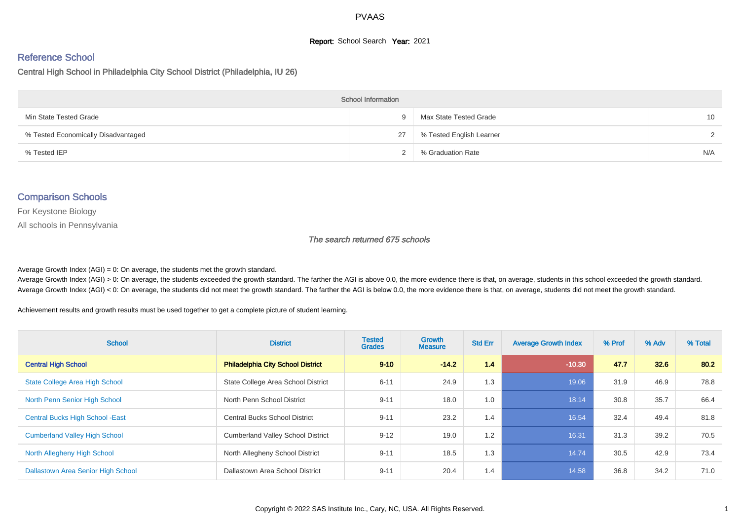## **Report:** School Search **Year:** 2021

# Reference School

Central High School in Philadelphia City School District (Philadelphia, IU 26)

| <b>School Information</b>           |    |                          |                 |  |  |  |  |  |
|-------------------------------------|----|--------------------------|-----------------|--|--|--|--|--|
| Min State Tested Grade              | Q  | Max State Tested Grade   | 10 <sup>1</sup> |  |  |  |  |  |
| % Tested Economically Disadvantaged | 27 | % Tested English Learner | $\mathcal{D}$   |  |  |  |  |  |
| % Tested IEP                        |    | % Graduation Rate        | N/A             |  |  |  |  |  |

#### Comparison Schools

For Keystone Biology

All schools in Pennsylvania

#### The search returned 675 schools

Average Growth Index  $(AGI) = 0$ : On average, the students met the growth standard.

Average Growth Index (AGI) > 0: On average, the students exceeded the growth standard. The farther the AGI is above 0.0, the more evidence there is that, on average, students in this school exceeded the growth standard. Average Growth Index (AGI) < 0: On average, the students did not meet the growth standard. The farther the AGI is below 0.0, the more evidence there is that, on average, students did not meet the growth standard.

Achievement results and growth results must be used together to get a complete picture of student learning.

| <b>School</b>                           | <b>District</b>                          | <b>Tested</b><br><b>Grades</b> | <b>Growth</b><br><b>Measure</b> | <b>Std Err</b> | <b>Average Growth Index</b> | % Prof | % Adv | % Total |
|-----------------------------------------|------------------------------------------|--------------------------------|---------------------------------|----------------|-----------------------------|--------|-------|---------|
| <b>Central High School</b>              | <b>Philadelphia City School District</b> | $9 - 10$                       | $-14.2$                         | 1.4            | $-10.30$                    | 47.7   | 32.6  | 80.2    |
| <b>State College Area High School</b>   | State College Area School District       | $6 - 11$                       | 24.9                            | 1.3            | 19.06                       | 31.9   | 46.9  | 78.8    |
| North Penn Senior High School           | North Penn School District               | $9 - 11$                       | 18.0                            | 1.0            | 18.14                       | 30.8   | 35.7  | 66.4    |
| <b>Central Bucks High School - East</b> | <b>Central Bucks School District</b>     | $9 - 11$                       | 23.2                            | 1.4            | 16.54                       | 32.4   | 49.4  | 81.8    |
| <b>Cumberland Valley High School</b>    | <b>Cumberland Valley School District</b> | $9 - 12$                       | 19.0                            | 1.2            | 16.31                       | 31.3   | 39.2  | 70.5    |
| North Allegheny High School             | North Allegheny School District          | $9 - 11$                       | 18.5                            | 1.3            | 14.74                       | 30.5   | 42.9  | 73.4    |
| Dallastown Area Senior High School      | Dallastown Area School District          | $9 - 11$                       | 20.4                            | 1.4            | 14.58                       | 36.8   | 34.2  | 71.0    |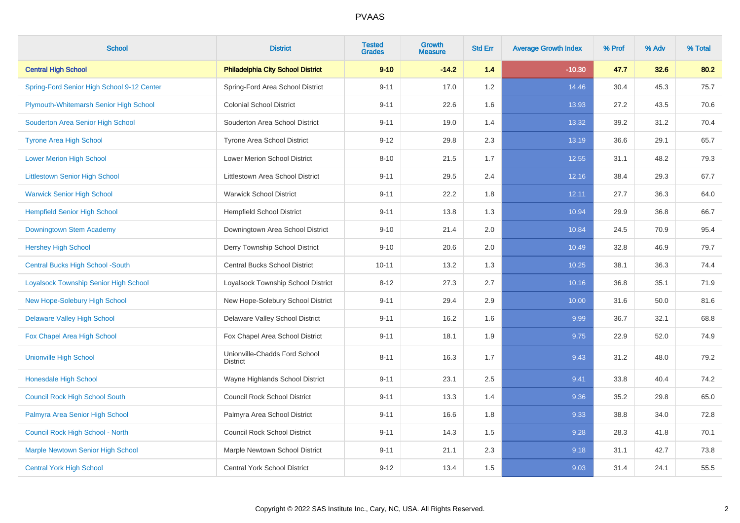| <b>School</b>                                | <b>District</b>                                  | <b>Tested</b><br><b>Grades</b> | <b>Growth</b><br><b>Measure</b> | <b>Std Err</b> | <b>Average Growth Index</b> | % Prof | % Adv | % Total |
|----------------------------------------------|--------------------------------------------------|--------------------------------|---------------------------------|----------------|-----------------------------|--------|-------|---------|
| <b>Central High School</b>                   | <b>Philadelphia City School District</b>         | $9 - 10$                       | $-14.2$                         | 1.4            | $-10.30$                    | 47.7   | 32.6  | 80.2    |
| Spring-Ford Senior High School 9-12 Center   | Spring-Ford Area School District                 | $9 - 11$                       | 17.0                            | 1.2            | 14.46                       | 30.4   | 45.3  | 75.7    |
| Plymouth-Whitemarsh Senior High School       | <b>Colonial School District</b>                  | $9 - 11$                       | 22.6                            | 1.6            | 13.93                       | 27.2   | 43.5  | 70.6    |
| Souderton Area Senior High School            | Souderton Area School District                   | $9 - 11$                       | 19.0                            | 1.4            | 13.32                       | 39.2   | 31.2  | 70.4    |
| <b>Tyrone Area High School</b>               | Tyrone Area School District                      | $9 - 12$                       | 29.8                            | 2.3            | 13.19                       | 36.6   | 29.1  | 65.7    |
| <b>Lower Merion High School</b>              | Lower Merion School District                     | $8 - 10$                       | 21.5                            | 1.7            | 12.55                       | 31.1   | 48.2  | 79.3    |
| <b>Littlestown Senior High School</b>        | Littlestown Area School District                 | $9 - 11$                       | 29.5                            | 2.4            | 12.16                       | 38.4   | 29.3  | 67.7    |
| <b>Warwick Senior High School</b>            | <b>Warwick School District</b>                   | $9 - 11$                       | 22.2                            | 1.8            | 12.11                       | 27.7   | 36.3  | 64.0    |
| <b>Hempfield Senior High School</b>          | <b>Hempfield School District</b>                 | $9 - 11$                       | 13.8                            | 1.3            | 10.94                       | 29.9   | 36.8  | 66.7    |
| Downingtown Stem Academy                     | Downingtown Area School District                 | $9 - 10$                       | 21.4                            | 2.0            | 10.84                       | 24.5   | 70.9  | 95.4    |
| <b>Hershey High School</b>                   | Derry Township School District                   | $9 - 10$                       | 20.6                            | 2.0            | 10.49                       | 32.8   | 46.9  | 79.7    |
| <b>Central Bucks High School -South</b>      | <b>Central Bucks School District</b>             | $10 - 11$                      | 13.2                            | 1.3            | 10.25                       | 38.1   | 36.3  | 74.4    |
| <b>Loyalsock Township Senior High School</b> | Loyalsock Township School District               | $8 - 12$                       | 27.3                            | 2.7            | 10.16                       | 36.8   | 35.1  | 71.9    |
| New Hope-Solebury High School                | New Hope-Solebury School District                | $9 - 11$                       | 29.4                            | 2.9            | 10.00                       | 31.6   | 50.0  | 81.6    |
| <b>Delaware Valley High School</b>           | Delaware Valley School District                  | $9 - 11$                       | 16.2                            | 1.6            | 9.99                        | 36.7   | 32.1  | 68.8    |
| Fox Chapel Area High School                  | Fox Chapel Area School District                  | $9 - 11$                       | 18.1                            | 1.9            | 9.75                        | 22.9   | 52.0  | 74.9    |
| <b>Unionville High School</b>                | Unionville-Chadds Ford School<br><b>District</b> | $8 - 11$                       | 16.3                            | 1.7            | 9.43                        | 31.2   | 48.0  | 79.2    |
| <b>Honesdale High School</b>                 | Wayne Highlands School District                  | $9 - 11$                       | 23.1                            | 2.5            | 9.41                        | 33.8   | 40.4  | 74.2    |
| <b>Council Rock High School South</b>        | <b>Council Rock School District</b>              | $9 - 11$                       | 13.3                            | 1.4            | 9.36                        | 35.2   | 29.8  | 65.0    |
| Palmyra Area Senior High School              | Palmyra Area School District                     | $9 - 11$                       | 16.6                            | 1.8            | 9.33                        | 38.8   | 34.0  | 72.8    |
| Council Rock High School - North             | <b>Council Rock School District</b>              | $9 - 11$                       | 14.3                            | 1.5            | 9.28                        | 28.3   | 41.8  | 70.1    |
| <b>Marple Newtown Senior High School</b>     | Marple Newtown School District                   | $9 - 11$                       | 21.1                            | 2.3            | 9.18                        | 31.1   | 42.7  | 73.8    |
| <b>Central York High School</b>              | <b>Central York School District</b>              | $9 - 12$                       | 13.4                            | 1.5            | 9.03                        | 31.4   | 24.1  | 55.5    |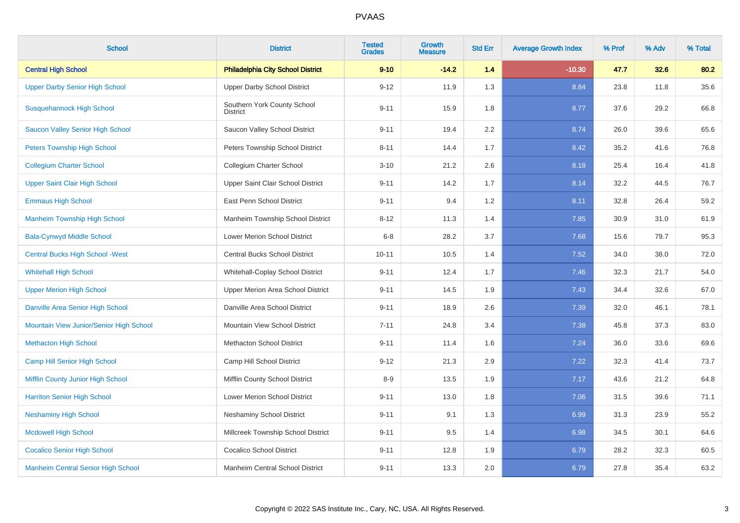| <b>School</b>                             | <b>District</b>                                | <b>Tested</b><br><b>Grades</b> | <b>Growth</b><br><b>Measure</b> | <b>Std Err</b> | <b>Average Growth Index</b> | % Prof | % Adv | % Total |
|-------------------------------------------|------------------------------------------------|--------------------------------|---------------------------------|----------------|-----------------------------|--------|-------|---------|
| <b>Central High School</b>                | <b>Philadelphia City School District</b>       | $9 - 10$                       | $-14.2$                         | 1.4            | $-10.30$                    | 47.7   | 32.6  | 80.2    |
| <b>Upper Darby Senior High School</b>     | <b>Upper Darby School District</b>             | $9 - 12$                       | 11.9                            | 1.3            | 8.84                        | 23.8   | 11.8  | 35.6    |
| <b>Susquehannock High School</b>          | Southern York County School<br><b>District</b> | $9 - 11$                       | 15.9                            | 1.8            | 8.77                        | 37.6   | 29.2  | 66.8    |
| <b>Saucon Valley Senior High School</b>   | Saucon Valley School District                  | $9 - 11$                       | 19.4                            | 2.2            | 8.74                        | 26.0   | 39.6  | 65.6    |
| <b>Peters Township High School</b>        | Peters Township School District                | $8 - 11$                       | 14.4                            | 1.7            | 8.42                        | 35.2   | 41.6  | 76.8    |
| <b>Collegium Charter School</b>           | Collegium Charter School                       | $3 - 10$                       | 21.2                            | 2.6            | 8.18                        | 25.4   | 16.4  | 41.8    |
| <b>Upper Saint Clair High School</b>      | Upper Saint Clair School District              | $9 - 11$                       | 14.2                            | 1.7            | 8.14                        | 32.2   | 44.5  | 76.7    |
| <b>Emmaus High School</b>                 | East Penn School District                      | $9 - 11$                       | 9.4                             | 1.2            | 8.11                        | 32.8   | 26.4  | 59.2    |
| <b>Manheim Township High School</b>       | Manheim Township School District               | $8 - 12$                       | 11.3                            | 1.4            | 7.85                        | 30.9   | 31.0  | 61.9    |
| <b>Bala-Cynwyd Middle School</b>          | <b>Lower Merion School District</b>            | $6 - 8$                        | 28.2                            | 3.7            | 7.68                        | 15.6   | 79.7  | 95.3    |
| <b>Central Bucks High School - West</b>   | <b>Central Bucks School District</b>           | $10 - 11$                      | 10.5                            | 1.4            | 7.52                        | 34.0   | 38.0  | 72.0    |
| <b>Whitehall High School</b>              | Whitehall-Coplay School District               | $9 - 11$                       | 12.4                            | 1.7            | 7.46                        | 32.3   | 21.7  | 54.0    |
| <b>Upper Merion High School</b>           | Upper Merion Area School District              | $9 - 11$                       | 14.5                            | 1.9            | 7.43                        | 34.4   | 32.6  | 67.0    |
| Danville Area Senior High School          | Danville Area School District                  | $9 - 11$                       | 18.9                            | 2.6            | 7.39                        | 32.0   | 46.1  | 78.1    |
| Mountain View Junior/Senior High School   | Mountain View School District                  | $7 - 11$                       | 24.8                            | 3.4            | 7.38                        | 45.8   | 37.3  | 83.0    |
| <b>Methacton High School</b>              | <b>Methacton School District</b>               | $9 - 11$                       | 11.4                            | 1.6            | 7.24                        | 36.0   | 33.6  | 69.6    |
| <b>Camp Hill Senior High School</b>       | Camp Hill School District                      | $9 - 12$                       | 21.3                            | 2.9            | 7.22                        | 32.3   | 41.4  | 73.7    |
| Mifflin County Junior High School         | Mifflin County School District                 | $8 - 9$                        | 13.5                            | 1.9            | 7.17                        | 43.6   | 21.2  | 64.8    |
| <b>Harriton Senior High School</b>        | Lower Merion School District                   | $9 - 11$                       | 13.0                            | 1.8            | 7.06                        | 31.5   | 39.6  | 71.1    |
| <b>Neshaminy High School</b>              | <b>Neshaminy School District</b>               | $9 - 11$                       | 9.1                             | 1.3            | 6.99                        | 31.3   | 23.9  | 55.2    |
| <b>Mcdowell High School</b>               | Millcreek Township School District             | $9 - 11$                       | 9.5                             | 1.4            | 6.98                        | 34.5   | 30.1  | 64.6    |
| <b>Cocalico Senior High School</b>        | <b>Cocalico School District</b>                | $9 - 11$                       | 12.8                            | 1.9            | 6.79                        | 28.2   | 32.3  | 60.5    |
| <b>Manheim Central Senior High School</b> | Manheim Central School District                | $9 - 11$                       | 13.3                            | 2.0            | 6.79                        | 27.8   | 35.4  | 63.2    |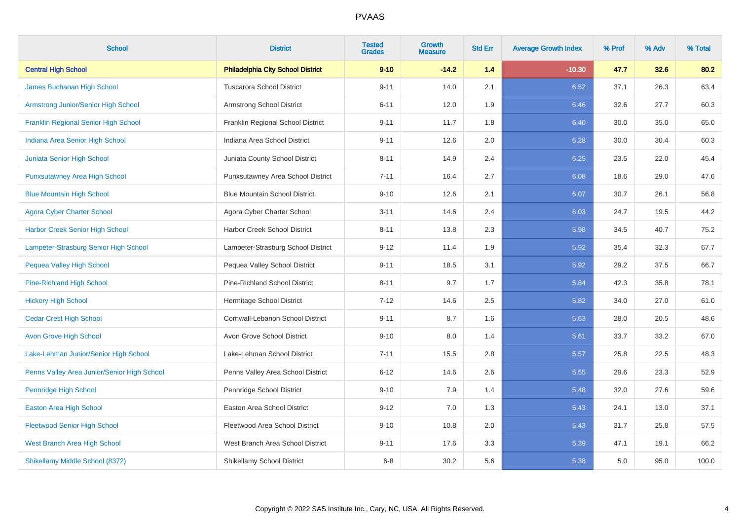| <b>School</b>                               | <b>District</b>                          | <b>Tested</b><br><b>Grades</b> | <b>Growth</b><br><b>Measure</b> | <b>Std Err</b> | <b>Average Growth Index</b> | % Prof | % Adv | % Total |
|---------------------------------------------|------------------------------------------|--------------------------------|---------------------------------|----------------|-----------------------------|--------|-------|---------|
| <b>Central High School</b>                  | <b>Philadelphia City School District</b> | $9 - 10$                       | $-14.2$                         | 1.4            | $-10.30$                    | 47.7   | 32.6  | 80.2    |
| James Buchanan High School                  | <b>Tuscarora School District</b>         | $9 - 11$                       | 14.0                            | 2.1            | 6.52                        | 37.1   | 26.3  | 63.4    |
| Armstrong Junior/Senior High School         | Armstrong School District                | $6 - 11$                       | 12.0                            | 1.9            | 6.46                        | 32.6   | 27.7  | 60.3    |
| <b>Franklin Regional Senior High School</b> | Franklin Regional School District        | $9 - 11$                       | 11.7                            | 1.8            | 6.40                        | 30.0   | 35.0  | 65.0    |
| Indiana Area Senior High School             | Indiana Area School District             | $9 - 11$                       | 12.6                            | 2.0            | 6.28                        | 30.0   | 30.4  | 60.3    |
| Juniata Senior High School                  | Juniata County School District           | $8 - 11$                       | 14.9                            | 2.4            | 6.25                        | 23.5   | 22.0  | 45.4    |
| <b>Punxsutawney Area High School</b>        | Punxsutawney Area School District        | $7 - 11$                       | 16.4                            | 2.7            | 6.08                        | 18.6   | 29.0  | 47.6    |
| <b>Blue Mountain High School</b>            | <b>Blue Mountain School District</b>     | $9 - 10$                       | 12.6                            | 2.1            | 6.07                        | 30.7   | 26.1  | 56.8    |
| <b>Agora Cyber Charter School</b>           | Agora Cyber Charter School               | $3 - 11$                       | 14.6                            | 2.4            | 6.03                        | 24.7   | 19.5  | 44.2    |
| <b>Harbor Creek Senior High School</b>      | Harbor Creek School District             | $8 - 11$                       | 13.8                            | 2.3            | 5.98                        | 34.5   | 40.7  | 75.2    |
| Lampeter-Strasburg Senior High School       | Lampeter-Strasburg School District       | $9 - 12$                       | 11.4                            | 1.9            | 5.92                        | 35.4   | 32.3  | 67.7    |
| Pequea Valley High School                   | Pequea Valley School District            | $9 - 11$                       | 18.5                            | 3.1            | 5.92                        | 29.2   | 37.5  | 66.7    |
| Pine-Richland High School                   | <b>Pine-Richland School District</b>     | $8 - 11$                       | 9.7                             | 1.7            | 5.84                        | 42.3   | 35.8  | 78.1    |
| <b>Hickory High School</b>                  | Hermitage School District                | $7 - 12$                       | 14.6                            | 2.5            | 5.82                        | 34.0   | 27.0  | 61.0    |
| <b>Cedar Crest High School</b>              | Cornwall-Lebanon School District         | $9 - 11$                       | 8.7                             | 1.6            | 5.63                        | 28.0   | 20.5  | 48.6    |
| <b>Avon Grove High School</b>               | Avon Grove School District               | $9 - 10$                       | 8.0                             | 1.4            | 5.61                        | 33.7   | 33.2  | 67.0    |
| Lake-Lehman Junior/Senior High School       | Lake-Lehman School District              | $7 - 11$                       | 15.5                            | 2.8            | 5.57                        | 25.8   | 22.5  | 48.3    |
| Penns Valley Area Junior/Senior High School | Penns Valley Area School District        | $6 - 12$                       | 14.6                            | 2.6            | 5.55                        | 29.6   | 23.3  | 52.9    |
| Pennridge High School                       | Pennridge School District                | $9 - 10$                       | 7.9                             | 1.4            | 5.48                        | 32.0   | 27.6  | 59.6    |
| <b>Easton Area High School</b>              | <b>Easton Area School District</b>       | $9 - 12$                       | 7.0                             | 1.3            | 5.43                        | 24.1   | 13.0  | 37.1    |
| <b>Fleetwood Senior High School</b>         | Fleetwood Area School District           | $9 - 10$                       | 10.8                            | 2.0            | 5.43                        | 31.7   | 25.8  | 57.5    |
| West Branch Area High School                | West Branch Area School District         | $9 - 11$                       | 17.6                            | 3.3            | 5.39                        | 47.1   | 19.1  | 66.2    |
| Shikellamy Middle School (8372)             | Shikellamy School District               | $6 - 8$                        | 30.2                            | 5.6            | 5.38                        | 5.0    | 95.0  | 100.0   |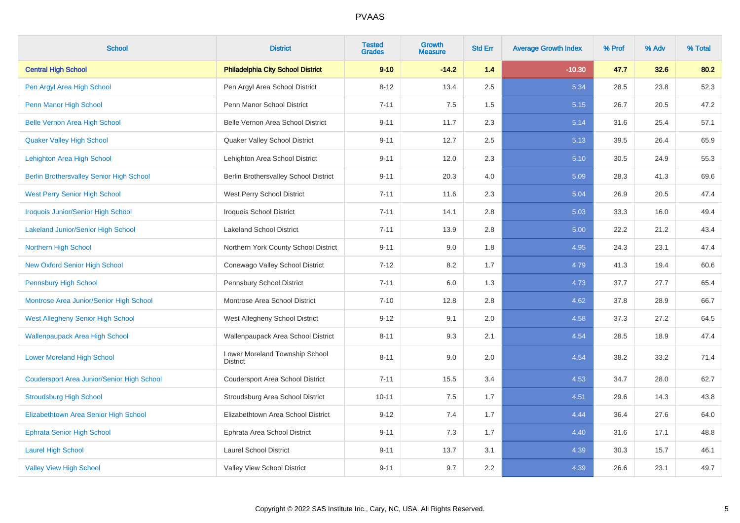| <b>School</b>                                   | <b>District</b>                                   | <b>Tested</b><br><b>Grades</b> | <b>Growth</b><br><b>Measure</b> | <b>Std Err</b> | <b>Average Growth Index</b> | % Prof | % Adv | % Total |
|-------------------------------------------------|---------------------------------------------------|--------------------------------|---------------------------------|----------------|-----------------------------|--------|-------|---------|
| <b>Central High School</b>                      | <b>Philadelphia City School District</b>          | $9 - 10$                       | $-14.2$                         | 1.4            | $-10.30$                    | 47.7   | 32.6  | 80.2    |
| Pen Argyl Area High School                      | Pen Argyl Area School District                    | $8 - 12$                       | 13.4                            | 2.5            | 5.34                        | 28.5   | 23.8  | 52.3    |
| Penn Manor High School                          | Penn Manor School District                        | $7 - 11$                       | 7.5                             | 1.5            | 5.15                        | 26.7   | 20.5  | 47.2    |
| <b>Belle Vernon Area High School</b>            | Belle Vernon Area School District                 | $9 - 11$                       | 11.7                            | 2.3            | 5.14                        | 31.6   | 25.4  | 57.1    |
| <b>Quaker Valley High School</b>                | Quaker Valley School District                     | $9 - 11$                       | 12.7                            | 2.5            | 5.13                        | 39.5   | 26.4  | 65.9    |
| Lehighton Area High School                      | Lehighton Area School District                    | $9 - 11$                       | 12.0                            | 2.3            | 5.10                        | 30.5   | 24.9  | 55.3    |
| <b>Berlin Brothersvalley Senior High School</b> | Berlin Brothersvalley School District             | $9 - 11$                       | 20.3                            | 4.0            | 5.09                        | 28.3   | 41.3  | 69.6    |
| <b>West Perry Senior High School</b>            | West Perry School District                        | $7 - 11$                       | 11.6                            | 2.3            | 5.04                        | 26.9   | 20.5  | 47.4    |
| <b>Iroquois Junior/Senior High School</b>       | <b>Iroquois School District</b>                   | $7 - 11$                       | 14.1                            | 2.8            | 5.03                        | 33.3   | 16.0  | 49.4    |
| <b>Lakeland Junior/Senior High School</b>       | <b>Lakeland School District</b>                   | $7 - 11$                       | 13.9                            | 2.8            | 5.00                        | 22.2   | 21.2  | 43.4    |
| Northern High School                            | Northern York County School District              | $9 - 11$                       | 9.0                             | 1.8            | 4.95                        | 24.3   | 23.1  | 47.4    |
| <b>New Oxford Senior High School</b>            | Conewago Valley School District                   | $7 - 12$                       | 8.2                             | 1.7            | 4.79                        | 41.3   | 19.4  | 60.6    |
| <b>Pennsbury High School</b>                    | Pennsbury School District                         | $7 - 11$                       | 6.0                             | 1.3            | 4.73                        | 37.7   | 27.7  | 65.4    |
| Montrose Area Junior/Senior High School         | Montrose Area School District                     | $7 - 10$                       | 12.8                            | 2.8            | 4.62                        | 37.8   | 28.9  | 66.7    |
| <b>West Allegheny Senior High School</b>        | West Allegheny School District                    | $9 - 12$                       | 9.1                             | 2.0            | 4.58                        | 37.3   | 27.2  | 64.5    |
| <b>Wallenpaupack Area High School</b>           | Wallenpaupack Area School District                | $8 - 11$                       | 9.3                             | 2.1            | 4.54                        | 28.5   | 18.9  | 47.4    |
| <b>Lower Moreland High School</b>               | Lower Moreland Township School<br><b>District</b> | $8 - 11$                       | 9.0                             | 2.0            | 4.54                        | 38.2   | 33.2  | 71.4    |
| Coudersport Area Junior/Senior High School      | Coudersport Area School District                  | $7 - 11$                       | 15.5                            | 3.4            | 4.53                        | 34.7   | 28.0  | 62.7    |
| <b>Stroudsburg High School</b>                  | Stroudsburg Area School District                  | $10 - 11$                      | 7.5                             | 1.7            | 4.51                        | 29.6   | 14.3  | 43.8    |
| Elizabethtown Area Senior High School           | Elizabethtown Area School District                | $9 - 12$                       | 7.4                             | 1.7            | 4.44                        | 36.4   | 27.6  | 64.0    |
| <b>Ephrata Senior High School</b>               | Ephrata Area School District                      | $9 - 11$                       | 7.3                             | 1.7            | 4.40                        | 31.6   | 17.1  | 48.8    |
| <b>Laurel High School</b>                       | <b>Laurel School District</b>                     | $9 - 11$                       | 13.7                            | 3.1            | 4.39                        | 30.3   | 15.7  | 46.1    |
| <b>Valley View High School</b>                  | Valley View School District                       | $9 - 11$                       | 9.7                             | 2.2            | 4.39                        | 26.6   | 23.1  | 49.7    |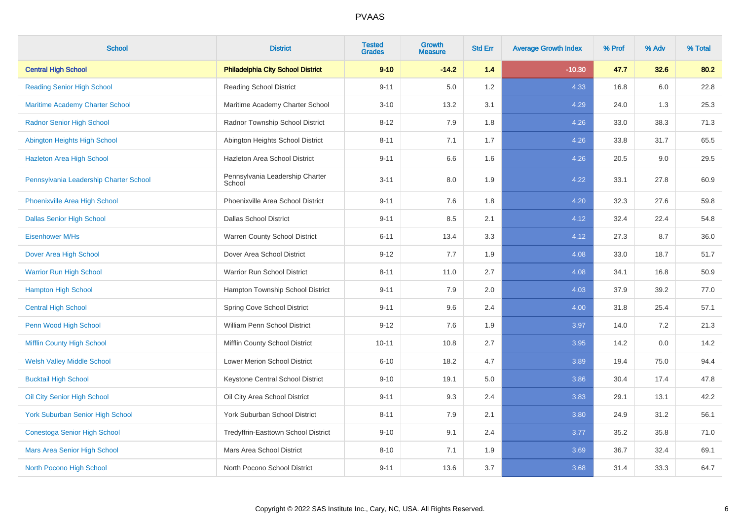| <b>School</b>                           | <b>District</b>                           | <b>Tested</b><br><b>Grades</b> | <b>Growth</b><br><b>Measure</b> | <b>Std Err</b> | <b>Average Growth Index</b> | % Prof | % Adv | % Total |
|-----------------------------------------|-------------------------------------------|--------------------------------|---------------------------------|----------------|-----------------------------|--------|-------|---------|
| <b>Central High School</b>              | <b>Philadelphia City School District</b>  | $9 - 10$                       | $-14.2$                         | 1.4            | $-10.30$                    | 47.7   | 32.6  | 80.2    |
| <b>Reading Senior High School</b>       | <b>Reading School District</b>            | $9 - 11$                       | 5.0                             | 1.2            | 4.33                        | 16.8   | 6.0   | 22.8    |
| <b>Maritime Academy Charter School</b>  | Maritime Academy Charter School           | $3 - 10$                       | 13.2                            | 3.1            | 4.29                        | 24.0   | 1.3   | 25.3    |
| <b>Radnor Senior High School</b>        | Radnor Township School District           | $8 - 12$                       | 7.9                             | 1.8            | 4.26                        | 33.0   | 38.3  | 71.3    |
| Abington Heights High School            | Abington Heights School District          | $8 - 11$                       | 7.1                             | 1.7            | 4.26                        | 33.8   | 31.7  | 65.5    |
| <b>Hazleton Area High School</b>        | Hazleton Area School District             | $9 - 11$                       | 6.6                             | 1.6            | 4.26                        | 20.5   | 9.0   | 29.5    |
| Pennsylvania Leadership Charter School  | Pennsylvania Leadership Charter<br>School | $3 - 11$                       | 8.0                             | 1.9            | 4.22                        | 33.1   | 27.8  | 60.9    |
| Phoenixville Area High School           | Phoenixville Area School District         | $9 - 11$                       | 7.6                             | 1.8            | 4.20                        | 32.3   | 27.6  | 59.8    |
| <b>Dallas Senior High School</b>        | <b>Dallas School District</b>             | $9 - 11$                       | 8.5                             | 2.1            | 4.12                        | 32.4   | 22.4  | 54.8    |
| Eisenhower M/Hs                         | Warren County School District             | $6 - 11$                       | 13.4                            | 3.3            | 4.12                        | 27.3   | 8.7   | 36.0    |
| Dover Area High School                  | Dover Area School District                | $9 - 12$                       | 7.7                             | 1.9            | 4.08                        | 33.0   | 18.7  | 51.7    |
| <b>Warrior Run High School</b>          | Warrior Run School District               | $8 - 11$                       | 11.0                            | 2.7            | 4.08                        | 34.1   | 16.8  | 50.9    |
| <b>Hampton High School</b>              | Hampton Township School District          | $9 - 11$                       | 7.9                             | 2.0            | 4.03                        | 37.9   | 39.2  | 77.0    |
| <b>Central High School</b>              | Spring Cove School District               | $9 - 11$                       | 9.6                             | 2.4            | 4.00                        | 31.8   | 25.4  | 57.1    |
| Penn Wood High School                   | William Penn School District              | $9 - 12$                       | 7.6                             | 1.9            | 3.97                        | 14.0   | 7.2   | 21.3    |
| Mifflin County High School              | Mifflin County School District            | $10 - 11$                      | 10.8                            | 2.7            | 3.95                        | 14.2   | 0.0   | 14.2    |
| <b>Welsh Valley Middle School</b>       | Lower Merion School District              | $6 - 10$                       | 18.2                            | 4.7            | 3.89                        | 19.4   | 75.0  | 94.4    |
| <b>Bucktail High School</b>             | Keystone Central School District          | $9 - 10$                       | 19.1                            | 5.0            | 3.86                        | 30.4   | 17.4  | 47.8    |
| Oil City Senior High School             | Oil City Area School District             | $9 - 11$                       | 9.3                             | 2.4            | 3.83                        | 29.1   | 13.1  | 42.2    |
| <b>York Suburban Senior High School</b> | York Suburban School District             | $8 - 11$                       | 7.9                             | 2.1            | 3.80                        | 24.9   | 31.2  | 56.1    |
| <b>Conestoga Senior High School</b>     | Tredyffrin-Easttown School District       | $9 - 10$                       | 9.1                             | 2.4            | 3.77                        | 35.2   | 35.8  | 71.0    |
| Mars Area Senior High School            | Mars Area School District                 | $8 - 10$                       | 7.1                             | 1.9            | 3.69                        | 36.7   | 32.4  | 69.1    |
| North Pocono High School                | North Pocono School District              | $9 - 11$                       | 13.6                            | 3.7            | 3.68                        | 31.4   | 33.3  | 64.7    |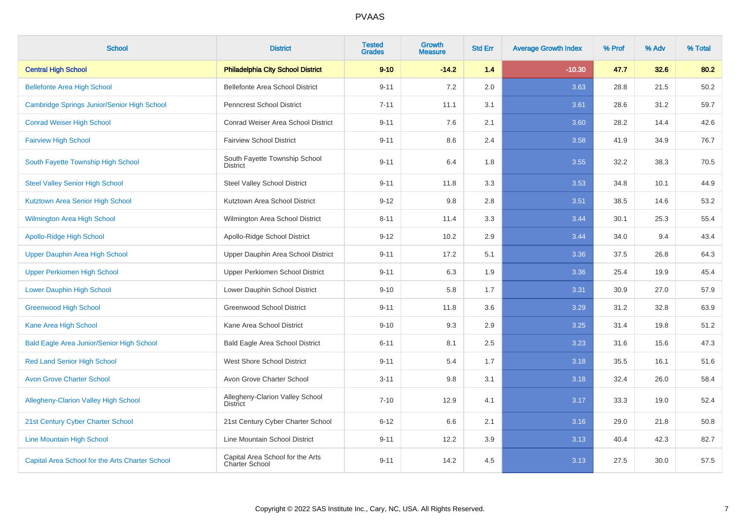| <b>School</b>                                    | <b>District</b>                                    | <b>Tested</b><br><b>Grades</b> | <b>Growth</b><br><b>Measure</b> | <b>Std Err</b> | <b>Average Growth Index</b> | % Prof | % Adv | % Total |
|--------------------------------------------------|----------------------------------------------------|--------------------------------|---------------------------------|----------------|-----------------------------|--------|-------|---------|
| <b>Central High School</b>                       | <b>Philadelphia City School District</b>           | $9 - 10$                       | $-14.2$                         | 1.4            | $-10.30$                    | 47.7   | 32.6  | 80.2    |
| <b>Bellefonte Area High School</b>               | Bellefonte Area School District                    | $9 - 11$                       | 7.2                             | 2.0            | 3.63                        | 28.8   | 21.5  | 50.2    |
| Cambridge Springs Junior/Senior High School      | <b>Penncrest School District</b>                   | $7 - 11$                       | 11.1                            | 3.1            | 3.61                        | 28.6   | 31.2  | 59.7    |
| <b>Conrad Weiser High School</b>                 | Conrad Weiser Area School District                 | $9 - 11$                       | 7.6                             | 2.1            | 3.60                        | 28.2   | 14.4  | 42.6    |
| <b>Fairview High School</b>                      | <b>Fairview School District</b>                    | $9 - 11$                       | 8.6                             | 2.4            | 3.58                        | 41.9   | 34.9  | 76.7    |
| South Fayette Township High School               | South Fayette Township School<br><b>District</b>   | $9 - 11$                       | 6.4                             | 1.8            | 3.55                        | 32.2   | 38.3  | 70.5    |
| <b>Steel Valley Senior High School</b>           | <b>Steel Valley School District</b>                | $9 - 11$                       | 11.8                            | 3.3            | 3.53                        | 34.8   | 10.1  | 44.9    |
| Kutztown Area Senior High School                 | Kutztown Area School District                      | $9 - 12$                       | 9.8                             | 2.8            | 3.51                        | 38.5   | 14.6  | 53.2    |
| <b>Wilmington Area High School</b>               | Wilmington Area School District                    | $8 - 11$                       | 11.4                            | 3.3            | 3.44                        | 30.1   | 25.3  | 55.4    |
| <b>Apollo-Ridge High School</b>                  | Apollo-Ridge School District                       | $9 - 12$                       | 10.2                            | 2.9            | 3.44                        | 34.0   | 9.4   | 43.4    |
| Upper Dauphin Area High School                   | Upper Dauphin Area School District                 | $9 - 11$                       | 17.2                            | 5.1            | 3.36                        | 37.5   | 26.8  | 64.3    |
| <b>Upper Perkiomen High School</b>               | Upper Perkiomen School District                    | $9 - 11$                       | 6.3                             | 1.9            | 3.36                        | 25.4   | 19.9  | 45.4    |
| <b>Lower Dauphin High School</b>                 | Lower Dauphin School District                      | $9 - 10$                       | 5.8                             | 1.7            | 3.31                        | 30.9   | 27.0  | 57.9    |
| <b>Greenwood High School</b>                     | <b>Greenwood School District</b>                   | $9 - 11$                       | 11.8                            | 3.6            | 3.29                        | 31.2   | 32.8  | 63.9    |
| Kane Area High School                            | Kane Area School District                          | $9 - 10$                       | 9.3                             | 2.9            | 3.25                        | 31.4   | 19.8  | 51.2    |
| <b>Bald Eagle Area Junior/Senior High School</b> | <b>Bald Eagle Area School District</b>             | $6 - 11$                       | 8.1                             | 2.5            | 3.23                        | 31.6   | 15.6  | 47.3    |
| <b>Red Land Senior High School</b>               | <b>West Shore School District</b>                  | $9 - 11$                       | 5.4                             | 1.7            | 3.18                        | 35.5   | 16.1  | 51.6    |
| <b>Avon Grove Charter School</b>                 | Avon Grove Charter School                          | $3 - 11$                       | 9.8                             | 3.1            | 3.18                        | 32.4   | 26.0  | 58.4    |
| <b>Allegheny-Clarion Valley High School</b>      | Allegheny-Clarion Valley School<br><b>District</b> | $7 - 10$                       | 12.9                            | 4.1            | 3.17                        | 33.3   | 19.0  | 52.4    |
| 21st Century Cyber Charter School                | 21st Century Cyber Charter School                  | $6 - 12$                       | 6.6                             | 2.1            | 3.16                        | 29.0   | 21.8  | 50.8    |
| <b>Line Mountain High School</b>                 | Line Mountain School District                      | $9 - 11$                       | 12.2                            | 3.9            | 3.13                        | 40.4   | 42.3  | 82.7    |
| Capital Area School for the Arts Charter School  | Capital Area School for the Arts<br>Charter School | $9 - 11$                       | 14.2                            | 4.5            | 3.13                        | 27.5   | 30.0  | 57.5    |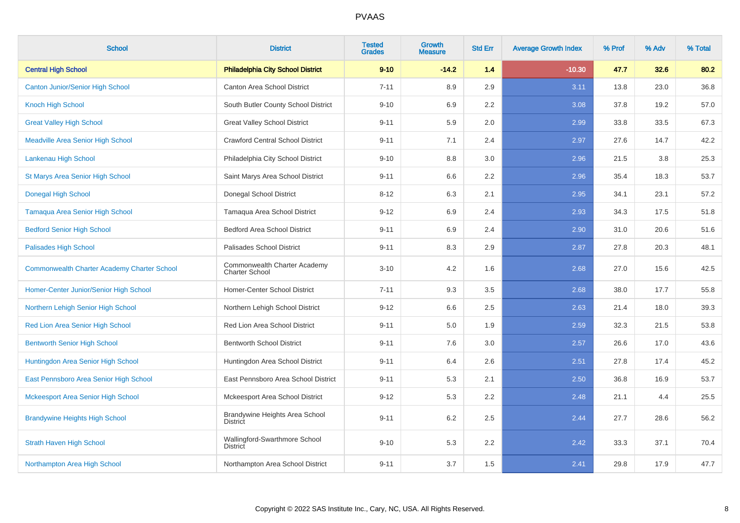| <b>School</b>                                      | <b>District</b>                                       | <b>Tested</b><br><b>Grades</b> | <b>Growth</b><br><b>Measure</b> | <b>Std Err</b> | <b>Average Growth Index</b> | % Prof | % Adv | % Total |
|----------------------------------------------------|-------------------------------------------------------|--------------------------------|---------------------------------|----------------|-----------------------------|--------|-------|---------|
| <b>Central High School</b>                         | <b>Philadelphia City School District</b>              | $9 - 10$                       | $-14.2$                         | 1.4            | $-10.30$                    | 47.7   | 32.6  | 80.2    |
| <b>Canton Junior/Senior High School</b>            | Canton Area School District                           | $7 - 11$                       | 8.9                             | 2.9            | 3.11                        | 13.8   | 23.0  | 36.8    |
| <b>Knoch High School</b>                           | South Butler County School District                   | $9 - 10$                       | 6.9                             | 2.2            | 3.08                        | 37.8   | 19.2  | 57.0    |
| <b>Great Valley High School</b>                    | <b>Great Valley School District</b>                   | $9 - 11$                       | 5.9                             | 2.0            | 2.99                        | 33.8   | 33.5  | 67.3    |
| <b>Meadville Area Senior High School</b>           | <b>Crawford Central School District</b>               | $9 - 11$                       | 7.1                             | 2.4            | 2.97                        | 27.6   | 14.7  | 42.2    |
| Lankenau High School                               | Philadelphia City School District                     | $9 - 10$                       | 8.8                             | 3.0            | 2.96                        | 21.5   | 3.8   | 25.3    |
| St Marys Area Senior High School                   | Saint Marys Area School District                      | $9 - 11$                       | 6.6                             | 2.2            | 2.96                        | 35.4   | 18.3  | 53.7    |
| <b>Donegal High School</b>                         | Donegal School District                               | $8 - 12$                       | 6.3                             | 2.1            | 2.95                        | 34.1   | 23.1  | 57.2    |
| <b>Tamaqua Area Senior High School</b>             | Tamaqua Area School District                          | $9 - 12$                       | 6.9                             | 2.4            | 2.93                        | 34.3   | 17.5  | 51.8    |
| <b>Bedford Senior High School</b>                  | <b>Bedford Area School District</b>                   | $9 - 11$                       | 6.9                             | 2.4            | 2.90                        | 31.0   | 20.6  | 51.6    |
| <b>Palisades High School</b>                       | Palisades School District                             | $9 - 11$                       | 8.3                             | 2.9            | 2.87                        | 27.8   | 20.3  | 48.1    |
| <b>Commonwealth Charter Academy Charter School</b> | Commonwealth Charter Academy<br><b>Charter School</b> | $3 - 10$                       | 4.2                             | 1.6            | 2.68                        | 27.0   | 15.6  | 42.5    |
| Homer-Center Junior/Senior High School             | Homer-Center School District                          | $7 - 11$                       | 9.3                             | 3.5            | 2.68                        | 38.0   | 17.7  | 55.8    |
| Northern Lehigh Senior High School                 | Northern Lehigh School District                       | $9 - 12$                       | 6.6                             | 2.5            | 2.63                        | 21.4   | 18.0  | 39.3    |
| Red Lion Area Senior High School                   | Red Lion Area School District                         | $9 - 11$                       | 5.0                             | 1.9            | 2.59                        | 32.3   | 21.5  | 53.8    |
| <b>Bentworth Senior High School</b>                | <b>Bentworth School District</b>                      | $9 - 11$                       | 7.6                             | 3.0            | 2.57                        | 26.6   | 17.0  | 43.6    |
| Huntingdon Area Senior High School                 | Huntingdon Area School District                       | $9 - 11$                       | 6.4                             | 2.6            | 2.51                        | 27.8   | 17.4  | 45.2    |
| East Pennsboro Area Senior High School             | East Pennsboro Area School District                   | $9 - 11$                       | 5.3                             | 2.1            | 2.50                        | 36.8   | 16.9  | 53.7    |
| <b>Mckeesport Area Senior High School</b>          | Mckeesport Area School District                       | $9 - 12$                       | 5.3                             | 2.2            | 2.48                        | 21.1   | 4.4   | 25.5    |
| <b>Brandywine Heights High School</b>              | Brandywine Heights Area School<br><b>District</b>     | $9 - 11$                       | 6.2                             | 2.5            | 2.44                        | 27.7   | 28.6  | 56.2    |
| <b>Strath Haven High School</b>                    | Wallingford-Swarthmore School<br><b>District</b>      | $9 - 10$                       | 5.3                             | 2.2            | 2.42                        | 33.3   | 37.1  | 70.4    |
| Northampton Area High School                       | Northampton Area School District                      | $9 - 11$                       | 3.7                             | 1.5            | 2.41                        | 29.8   | 17.9  | 47.7    |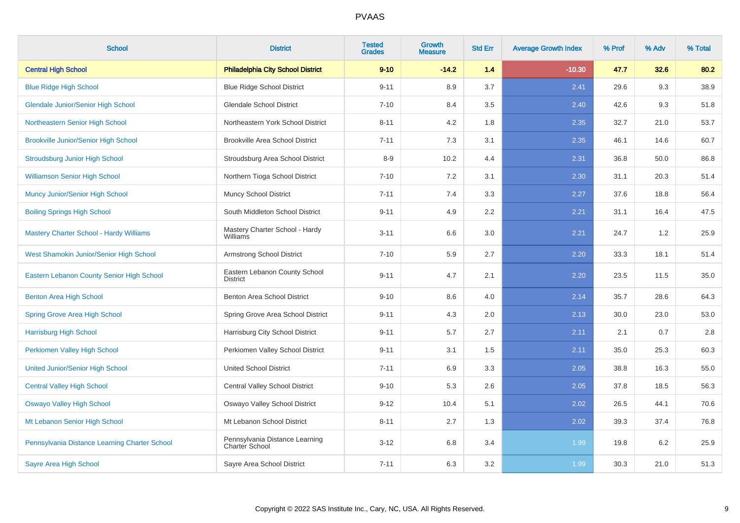| <b>School</b>                                  | <b>District</b>                                  | <b>Tested</b><br><b>Grades</b> | <b>Growth</b><br><b>Measure</b> | <b>Std Err</b> | <b>Average Growth Index</b> | % Prof | % Adv | % Total |
|------------------------------------------------|--------------------------------------------------|--------------------------------|---------------------------------|----------------|-----------------------------|--------|-------|---------|
| <b>Central High School</b>                     | <b>Philadelphia City School District</b>         | $9 - 10$                       | $-14.2$                         | 1.4            | $-10.30$                    | 47.7   | 32.6  | 80.2    |
| <b>Blue Ridge High School</b>                  | <b>Blue Ridge School District</b>                | $9 - 11$                       | 8.9                             | 3.7            | 2.41                        | 29.6   | 9.3   | 38.9    |
| <b>Glendale Junior/Senior High School</b>      | <b>Glendale School District</b>                  | $7 - 10$                       | 8.4                             | 3.5            | 2.40                        | 42.6   | 9.3   | 51.8    |
| Northeastern Senior High School                | Northeastern York School District                | $8 - 11$                       | 4.2                             | 1.8            | 2.35                        | 32.7   | 21.0  | 53.7    |
| <b>Brookville Junior/Senior High School</b>    | <b>Brookville Area School District</b>           | $7 - 11$                       | 7.3                             | 3.1            | 2.35                        | 46.1   | 14.6  | 60.7    |
| <b>Stroudsburg Junior High School</b>          | Stroudsburg Area School District                 | $8-9$                          | 10.2                            | 4.4            | 2.31                        | 36.8   | 50.0  | 86.8    |
| <b>Williamson Senior High School</b>           | Northern Tioga School District                   | $7 - 10$                       | 7.2                             | 3.1            | 2.30                        | 31.1   | 20.3  | 51.4    |
| <b>Muncy Junior/Senior High School</b>         | <b>Muncy School District</b>                     | $7 - 11$                       | 7.4                             | 3.3            | 2.27                        | 37.6   | 18.8  | 56.4    |
| <b>Boiling Springs High School</b>             | South Middleton School District                  | $9 - 11$                       | 4.9                             | 2.2            | 2.21                        | 31.1   | 16.4  | 47.5    |
| <b>Mastery Charter School - Hardy Williams</b> | Mastery Charter School - Hardy<br>Williams       | $3 - 11$                       | 6.6                             | 3.0            | 2.21                        | 24.7   | 1.2   | 25.9    |
| West Shamokin Junior/Senior High School        | Armstrong School District                        | $7 - 10$                       | 5.9                             | 2.7            | 2.20                        | 33.3   | 18.1  | 51.4    |
| Eastern Lebanon County Senior High School      | Eastern Lebanon County School<br><b>District</b> | $9 - 11$                       | 4.7                             | 2.1            | 2.20                        | 23.5   | 11.5  | 35.0    |
| <b>Benton Area High School</b>                 | Benton Area School District                      | $9 - 10$                       | 8.6                             | 4.0            | 2.14                        | 35.7   | 28.6  | 64.3    |
| <b>Spring Grove Area High School</b>           | Spring Grove Area School District                | $9 - 11$                       | 4.3                             | 2.0            | 2.13                        | 30.0   | 23.0  | 53.0    |
| <b>Harrisburg High School</b>                  | Harrisburg City School District                  | $9 - 11$                       | 5.7                             | 2.7            | 2.11                        | 2.1    | 0.7   | $2.8\,$ |
| Perkiomen Valley High School                   | Perkiomen Valley School District                 | $9 - 11$                       | 3.1                             | 1.5            | 2.11                        | 35.0   | 25.3  | 60.3    |
| <b>United Junior/Senior High School</b>        | <b>United School District</b>                    | $7 - 11$                       | 6.9                             | 3.3            | 2.05                        | 38.8   | 16.3  | 55.0    |
| <b>Central Valley High School</b>              | <b>Central Valley School District</b>            | $9 - 10$                       | 5.3                             | 2.6            | 2.05                        | 37.8   | 18.5  | 56.3    |
| <b>Oswayo Valley High School</b>               | Oswayo Valley School District                    | $9 - 12$                       | 10.4                            | 5.1            | 2.02                        | 26.5   | 44.1  | 70.6    |
| Mt Lebanon Senior High School                  | Mt Lebanon School District                       | $8 - 11$                       | 2.7                             | 1.3            | 2.02                        | 39.3   | 37.4  | 76.8    |
| Pennsylvania Distance Learning Charter School  | Pennsylvania Distance Learning<br>Charter School | $3 - 12$                       | 6.8                             | 3.4            | 1.99                        | 19.8   | 6.2   | 25.9    |
| Sayre Area High School                         | Sayre Area School District                       | $7 - 11$                       | 6.3                             | 3.2            | 1.99                        | 30.3   | 21.0  | 51.3    |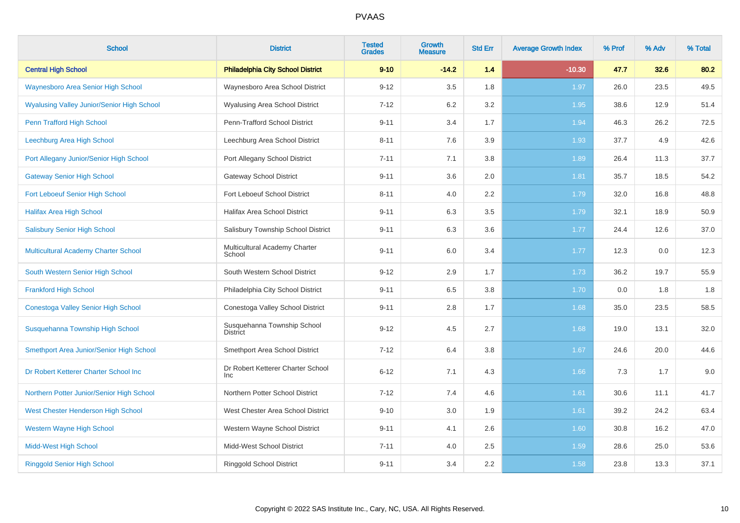| <b>School</b>                                     | <b>District</b>                                | <b>Tested</b><br><b>Grades</b> | <b>Growth</b><br><b>Measure</b> | <b>Std Err</b> | <b>Average Growth Index</b> | % Prof | % Adv | % Total |
|---------------------------------------------------|------------------------------------------------|--------------------------------|---------------------------------|----------------|-----------------------------|--------|-------|---------|
| <b>Central High School</b>                        | <b>Philadelphia City School District</b>       | $9 - 10$                       | $-14.2$                         | 1.4            | $-10.30$                    | 47.7   | 32.6  | 80.2    |
| <b>Waynesboro Area Senior High School</b>         | Waynesboro Area School District                | $9 - 12$                       | 3.5                             | 1.8            | 1.97                        | 26.0   | 23.5  | 49.5    |
| <b>Wyalusing Valley Junior/Senior High School</b> | <b>Wyalusing Area School District</b>          | $7 - 12$                       | 6.2                             | 3.2            | 1.95                        | 38.6   | 12.9  | 51.4    |
| Penn Trafford High School                         | Penn-Trafford School District                  | $9 - 11$                       | 3.4                             | 1.7            | 1.94                        | 46.3   | 26.2  | 72.5    |
| Leechburg Area High School                        | Leechburg Area School District                 | $8 - 11$                       | 7.6                             | 3.9            | 1.93                        | 37.7   | 4.9   | 42.6    |
| Port Allegany Junior/Senior High School           | Port Allegany School District                  | $7 - 11$                       | 7.1                             | 3.8            | 1.89                        | 26.4   | 11.3  | 37.7    |
| <b>Gateway Senior High School</b>                 | <b>Gateway School District</b>                 | $9 - 11$                       | 3.6                             | 2.0            | 1.81                        | 35.7   | 18.5  | 54.2    |
| Fort Leboeuf Senior High School                   | Fort Leboeuf School District                   | $8 - 11$                       | 4.0                             | 2.2            | 1.79                        | 32.0   | 16.8  | 48.8    |
| <b>Halifax Area High School</b>                   | Halifax Area School District                   | $9 - 11$                       | 6.3                             | 3.5            | 1.79                        | 32.1   | 18.9  | 50.9    |
| <b>Salisbury Senior High School</b>               | Salisbury Township School District             | $9 - 11$                       | 6.3                             | 3.6            | 1.77                        | 24.4   | 12.6  | 37.0    |
| Multicultural Academy Charter School              | Multicultural Academy Charter<br>School        | $9 - 11$                       | 6.0                             | 3.4            | 1.77                        | 12.3   | 0.0   | 12.3    |
| South Western Senior High School                  | South Western School District                  | $9 - 12$                       | 2.9                             | 1.7            | 1.73                        | 36.2   | 19.7  | 55.9    |
| <b>Frankford High School</b>                      | Philadelphia City School District              | $9 - 11$                       | 6.5                             | 3.8            | 1.70                        | 0.0    | 1.8   | 1.8     |
| <b>Conestoga Valley Senior High School</b>        | Conestoga Valley School District               | $9 - 11$                       | 2.8                             | 1.7            | 1.68                        | 35.0   | 23.5  | 58.5    |
| Susquehanna Township High School                  | Susquehanna Township School<br><b>District</b> | $9 - 12$                       | 4.5                             | 2.7            | 1.68                        | 19.0   | 13.1  | 32.0    |
| Smethport Area Junior/Senior High School          | Smethport Area School District                 | $7 - 12$                       | 6.4                             | 3.8            | 1.67                        | 24.6   | 20.0  | 44.6    |
| Dr Robert Ketterer Charter School Inc             | Dr Robert Ketterer Charter School<br>Inc       | $6 - 12$                       | 7.1                             | 4.3            | 1.66                        | 7.3    | 1.7   | 9.0     |
| Northern Potter Junior/Senior High School         | Northern Potter School District                | $7 - 12$                       | 7.4                             | 4.6            | 1.61                        | 30.6   | 11.1  | 41.7    |
| West Chester Henderson High School                | West Chester Area School District              | $9 - 10$                       | 3.0                             | 1.9            | 1.61                        | 39.2   | 24.2  | 63.4    |
| <b>Western Wayne High School</b>                  | Western Wayne School District                  | $9 - 11$                       | 4.1                             | 2.6            | 1.60                        | 30.8   | 16.2  | 47.0    |
| <b>Midd-West High School</b>                      | Midd-West School District                      | $7 - 11$                       | 4.0                             | 2.5            | 1.59                        | 28.6   | 25.0  | 53.6    |
| <b>Ringgold Senior High School</b>                | Ringgold School District                       | $9 - 11$                       | 3.4                             | 2.2            | 1.58                        | 23.8   | 13.3  | 37.1    |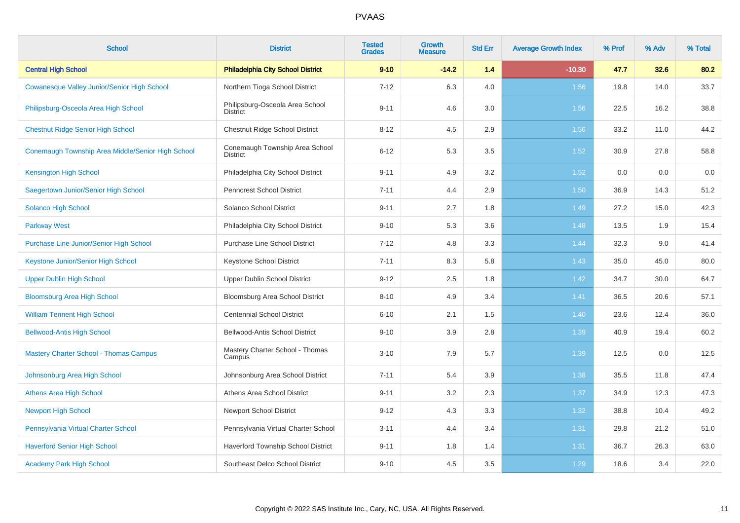| <b>School</b>                                     | <b>District</b>                                    | <b>Tested</b><br><b>Grades</b> | <b>Growth</b><br><b>Measure</b> | <b>Std Err</b> | <b>Average Growth Index</b> | % Prof | % Adv | % Total |
|---------------------------------------------------|----------------------------------------------------|--------------------------------|---------------------------------|----------------|-----------------------------|--------|-------|---------|
| <b>Central High School</b>                        | <b>Philadelphia City School District</b>           | $9 - 10$                       | $-14.2$                         | 1.4            | $-10.30$                    | 47.7   | 32.6  | 80.2    |
| Cowanesque Valley Junior/Senior High School       | Northern Tioga School District                     | $7 - 12$                       | 6.3                             | 4.0            | 1.56                        | 19.8   | 14.0  | 33.7    |
| Philipsburg-Osceola Area High School              | Philipsburg-Osceola Area School<br><b>District</b> | $9 - 11$                       | 4.6                             | 3.0            | 1.56                        | 22.5   | 16.2  | 38.8    |
| <b>Chestnut Ridge Senior High School</b>          | Chestnut Ridge School District                     | $8 - 12$                       | 4.5                             | 2.9            | 1.56                        | 33.2   | 11.0  | 44.2    |
| Conemaugh Township Area Middle/Senior High School | Conemaugh Township Area School<br><b>District</b>  | $6 - 12$                       | 5.3                             | 3.5            | 1.52                        | 30.9   | 27.8  | 58.8    |
| <b>Kensington High School</b>                     | Philadelphia City School District                  | $9 - 11$                       | 4.9                             | 3.2            | 1.52                        | 0.0    | 0.0   | 0.0     |
| Saegertown Junior/Senior High School              | Penncrest School District                          | $7 - 11$                       | 4.4                             | 2.9            | 1.50                        | 36.9   | 14.3  | 51.2    |
| <b>Solanco High School</b>                        | Solanco School District                            | $9 - 11$                       | 2.7                             | 1.8            | 1.49                        | 27.2   | 15.0  | 42.3    |
| <b>Parkway West</b>                               | Philadelphia City School District                  | $9 - 10$                       | 5.3                             | 3.6            | 1.48                        | 13.5   | 1.9   | 15.4    |
| <b>Purchase Line Junior/Senior High School</b>    | <b>Purchase Line School District</b>               | $7 - 12$                       | 4.8                             | 3.3            | 1.44                        | 32.3   | 9.0   | 41.4    |
| Keystone Junior/Senior High School                | <b>Keystone School District</b>                    | $7 - 11$                       | 8.3                             | 5.8            | 1.43                        | 35.0   | 45.0  | 80.0    |
| <b>Upper Dublin High School</b>                   | Upper Dublin School District                       | $9 - 12$                       | 2.5                             | 1.8            | 1.42                        | 34.7   | 30.0  | 64.7    |
| <b>Bloomsburg Area High School</b>                | Bloomsburg Area School District                    | $8 - 10$                       | 4.9                             | 3.4            | 1.41                        | 36.5   | 20.6  | 57.1    |
| <b>William Tennent High School</b>                | <b>Centennial School District</b>                  | $6 - 10$                       | 2.1                             | 1.5            | 1.40                        | 23.6   | 12.4  | 36.0    |
| <b>Bellwood-Antis High School</b>                 | Bellwood-Antis School District                     | $9 - 10$                       | 3.9                             | 2.8            | 1.39                        | 40.9   | 19.4  | 60.2    |
| <b>Mastery Charter School - Thomas Campus</b>     | Mastery Charter School - Thomas<br>Campus          | $3 - 10$                       | 7.9                             | 5.7            | 1.39                        | 12.5   | 0.0   | 12.5    |
| Johnsonburg Area High School                      | Johnsonburg Area School District                   | $7 - 11$                       | 5.4                             | 3.9            | 1.38                        | 35.5   | 11.8  | 47.4    |
| <b>Athens Area High School</b>                    | Athens Area School District                        | $9 - 11$                       | 3.2                             | 2.3            | 1.37                        | 34.9   | 12.3  | 47.3    |
| <b>Newport High School</b>                        | <b>Newport School District</b>                     | $9 - 12$                       | 4.3                             | 3.3            | 1.32                        | 38.8   | 10.4  | 49.2    |
| Pennsylvania Virtual Charter School               | Pennsylvania Virtual Charter School                | $3 - 11$                       | 4.4                             | 3.4            | 1.31                        | 29.8   | 21.2  | 51.0    |
| <b>Haverford Senior High School</b>               | Haverford Township School District                 | $9 - 11$                       | 1.8                             | 1.4            | 1.31                        | 36.7   | 26.3  | 63.0    |
| <b>Academy Park High School</b>                   | Southeast Delco School District                    | $9 - 10$                       | 4.5                             | 3.5            | 1.29                        | 18.6   | 3.4   | 22.0    |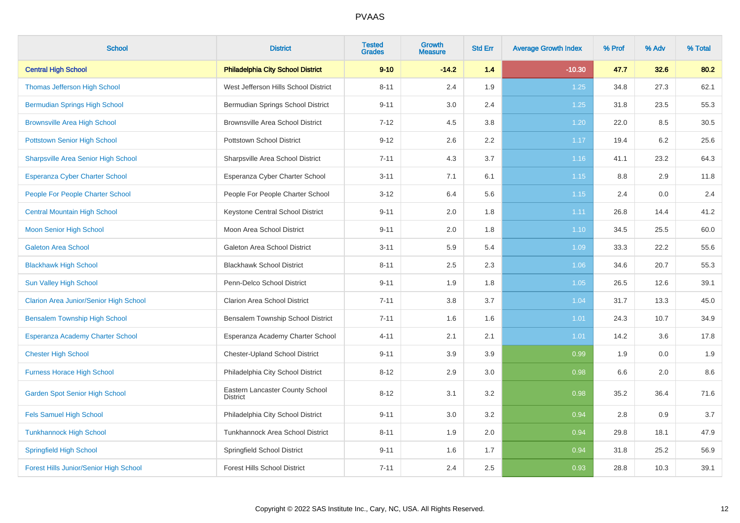| <b>School</b>                                 | <b>District</b>                                    | <b>Tested</b><br><b>Grades</b> | Growth<br><b>Measure</b> | <b>Std Err</b> | <b>Average Growth Index</b> | % Prof | % Adv | % Total |
|-----------------------------------------------|----------------------------------------------------|--------------------------------|--------------------------|----------------|-----------------------------|--------|-------|---------|
| <b>Central High School</b>                    | <b>Philadelphia City School District</b>           | $9 - 10$                       | $-14.2$                  | 1.4            | $-10.30$                    | 47.7   | 32.6  | 80.2    |
| <b>Thomas Jefferson High School</b>           | West Jefferson Hills School District               | $8 - 11$                       | 2.4                      | 1.9            | $1.25$                      | 34.8   | 27.3  | 62.1    |
| <b>Bermudian Springs High School</b>          | Bermudian Springs School District                  | $9 - 11$                       | 3.0                      | 2.4            | 1.25                        | 31.8   | 23.5  | 55.3    |
| <b>Brownsville Area High School</b>           | <b>Brownsville Area School District</b>            | $7 - 12$                       | 4.5                      | 3.8            | 1.20                        | 22.0   | 8.5   | 30.5    |
| <b>Pottstown Senior High School</b>           | <b>Pottstown School District</b>                   | $9 - 12$                       | 2.6                      | 2.2            | 1.17                        | 19.4   | 6.2   | 25.6    |
| <b>Sharpsville Area Senior High School</b>    | Sharpsville Area School District                   | $7 - 11$                       | 4.3                      | 3.7            | 1.16                        | 41.1   | 23.2  | 64.3    |
| <b>Esperanza Cyber Charter School</b>         | Esperanza Cyber Charter School                     | $3 - 11$                       | 7.1                      | 6.1            | 1.15                        | 8.8    | 2.9   | 11.8    |
| People For People Charter School              | People For People Charter School                   | $3 - 12$                       | 6.4                      | 5.6            | 1.15                        | 2.4    | 0.0   | 2.4     |
| <b>Central Mountain High School</b>           | Keystone Central School District                   | $9 - 11$                       | 2.0                      | 1.8            | 1.11                        | 26.8   | 14.4  | 41.2    |
| <b>Moon Senior High School</b>                | Moon Area School District                          | $9 - 11$                       | 2.0                      | 1.8            | 1.10                        | 34.5   | 25.5  | 60.0    |
| <b>Galeton Area School</b>                    | Galeton Area School District                       | $3 - 11$                       | 5.9                      | 5.4            | 1.09                        | 33.3   | 22.2  | 55.6    |
| <b>Blackhawk High School</b>                  | <b>Blackhawk School District</b>                   | $8 - 11$                       | 2.5                      | 2.3            | 1.06                        | 34.6   | 20.7  | 55.3    |
| <b>Sun Valley High School</b>                 | Penn-Delco School District                         | $9 - 11$                       | 1.9                      | 1.8            | 1.05                        | 26.5   | 12.6  | 39.1    |
| <b>Clarion Area Junior/Senior High School</b> | <b>Clarion Area School District</b>                | $7 - 11$                       | 3.8                      | 3.7            | 1.04                        | 31.7   | 13.3  | 45.0    |
| <b>Bensalem Township High School</b>          | Bensalem Township School District                  | $7 - 11$                       | 1.6                      | 1.6            | 1.01                        | 24.3   | 10.7  | 34.9    |
| <b>Esperanza Academy Charter School</b>       | Esperanza Academy Charter School                   | $4 - 11$                       | 2.1                      | 2.1            | 1.01                        | 14.2   | 3.6   | 17.8    |
| <b>Chester High School</b>                    | Chester-Upland School District                     | $9 - 11$                       | 3.9                      | 3.9            | 0.99                        | 1.9    | 0.0   | 1.9     |
| <b>Furness Horace High School</b>             | Philadelphia City School District                  | $8 - 12$                       | 2.9                      | 3.0            | 0.98                        | 6.6    | 2.0   | 8.6     |
| <b>Garden Spot Senior High School</b>         | Eastern Lancaster County School<br><b>District</b> | $8 - 12$                       | 3.1                      | 3.2            | 0.98                        | 35.2   | 36.4  | 71.6    |
| <b>Fels Samuel High School</b>                | Philadelphia City School District                  | $9 - 11$                       | 3.0                      | 3.2            | 0.94                        | 2.8    | 0.9   | $3.7\,$ |
| <b>Tunkhannock High School</b>                | <b>Tunkhannock Area School District</b>            | $8 - 11$                       | 1.9                      | 2.0            | 0.94                        | 29.8   | 18.1  | 47.9    |
| <b>Springfield High School</b>                | Springfield School District                        | $9 - 11$                       | 1.6                      | 1.7            | 0.94                        | 31.8   | 25.2  | 56.9    |
| Forest Hills Junior/Senior High School        | <b>Forest Hills School District</b>                | $7 - 11$                       | 2.4                      | 2.5            | 0.93                        | 28.8   | 10.3  | 39.1    |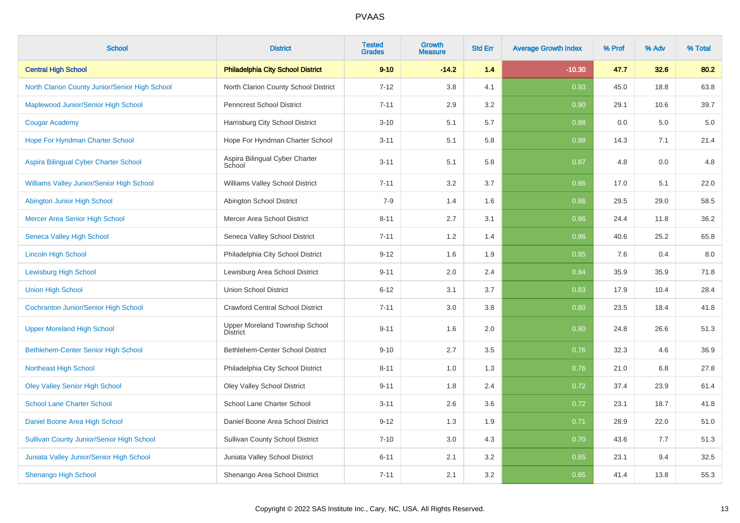| <b>School</b>                                    | <b>District</b>                                   | <b>Tested</b><br><b>Grades</b> | Growth<br><b>Measure</b> | <b>Std Err</b> | <b>Average Growth Index</b> | % Prof | % Adv | % Total |
|--------------------------------------------------|---------------------------------------------------|--------------------------------|--------------------------|----------------|-----------------------------|--------|-------|---------|
| <b>Central High School</b>                       | <b>Philadelphia City School District</b>          | $9 - 10$                       | $-14.2$                  | 1.4            | $-10.30$                    | 47.7   | 32.6  | 80.2    |
| North Clarion County Junior/Senior High School   | North Clarion County School District              | $7 - 12$                       | 3.8                      | 4.1            | 0.93                        | 45.0   | 18.8  | 63.8    |
| Maplewood Junior/Senior High School              | <b>Penncrest School District</b>                  | $7 - 11$                       | 2.9                      | 3.2            | 0.90                        | 29.1   | 10.6  | 39.7    |
| <b>Cougar Academy</b>                            | Harrisburg City School District                   | $3 - 10$                       | 5.1                      | $5.7\,$        | 0.88                        | 0.0    | 5.0   | $5.0\,$ |
| Hope For Hyndman Charter School                  | Hope For Hyndman Charter School                   | $3 - 11$                       | 5.1                      | 5.8            | 0.88                        | 14.3   | 7.1   | 21.4    |
| Aspira Bilingual Cyber Charter School            | Aspira Bilingual Cyber Charter<br>School          | $3 - 11$                       | 5.1                      | 5.8            | 0.87                        | 4.8    | 0.0   | 4.8     |
| Williams Valley Junior/Senior High School        | Williams Valley School District                   | $7 - 11$                       | 3.2                      | 3.7            | 0.86                        | 17.0   | 5.1   | 22.0    |
| Abington Junior High School                      | Abington School District                          | $7 - 9$                        | 1.4                      | 1.6            | 0.86                        | 29.5   | 29.0  | 58.5    |
| Mercer Area Senior High School                   | Mercer Area School District                       | $8 - 11$                       | 2.7                      | 3.1            | 0.86                        | 24.4   | 11.8  | 36.2    |
| <b>Seneca Valley High School</b>                 | Seneca Valley School District                     | $7 - 11$                       | 1.2                      | 1.4            | 0.86                        | 40.6   | 25.2  | 65.8    |
| <b>Lincoln High School</b>                       | Philadelphia City School District                 | $9 - 12$                       | 1.6                      | 1.9            | 0.85                        | 7.6    | 0.4   | 8.0     |
| <b>Lewisburg High School</b>                     | Lewisburg Area School District                    | $9 - 11$                       | 2.0                      | 2.4            | 0.84                        | 35.9   | 35.9  | 71.8    |
| <b>Union High School</b>                         | <b>Union School District</b>                      | $6 - 12$                       | 3.1                      | 3.7            | 0.83                        | 17.9   | 10.4  | 28.4    |
| <b>Cochranton Junior/Senior High School</b>      | <b>Crawford Central School District</b>           | $7 - 11$                       | 3.0                      | 3.8            | 0.80                        | 23.5   | 18.4  | 41.8    |
| <b>Upper Moreland High School</b>                | Upper Moreland Township School<br><b>District</b> | $9 - 11$                       | 1.6                      | 2.0            | 0.80                        | 24.8   | 26.6  | 51.3    |
| <b>Bethlehem-Center Senior High School</b>       | Bethlehem-Center School District                  | $9 - 10$                       | 2.7                      | 3.5            | 0.76                        | 32.3   | 4.6   | 36.9    |
| <b>Northeast High School</b>                     | Philadelphia City School District                 | $8 - 11$                       | 1.0                      | 1.3            | 0.76                        | 21.0   | 6.8   | 27.8    |
| <b>Oley Valley Senior High School</b>            | <b>Oley Valley School District</b>                | $9 - 11$                       | 1.8                      | 2.4            | 0.72                        | 37.4   | 23.9  | 61.4    |
| <b>School Lane Charter School</b>                | School Lane Charter School                        | $3 - 11$                       | 2.6                      | 3.6            | 0.72                        | 23.1   | 18.7  | 41.8    |
| Daniel Boone Area High School                    | Daniel Boone Area School District                 | $9 - 12$                       | 1.3                      | 1.9            | 0.71                        | 28.9   | 22.0  | 51.0    |
| <b>Sullivan County Junior/Senior High School</b> | <b>Sullivan County School District</b>            | $7 - 10$                       | 3.0                      | 4.3            | 0.70                        | 43.6   | 7.7   | 51.3    |
| Juniata Valley Junior/Senior High School         | Juniata Valley School District                    | $6 - 11$                       | 2.1                      | 3.2            | 0.65                        | 23.1   | 9.4   | 32.5    |
| <b>Shenango High School</b>                      | Shenango Area School District                     | $7 - 11$                       | 2.1                      | 3.2            | 0.65                        | 41.4   | 13.8  | 55.3    |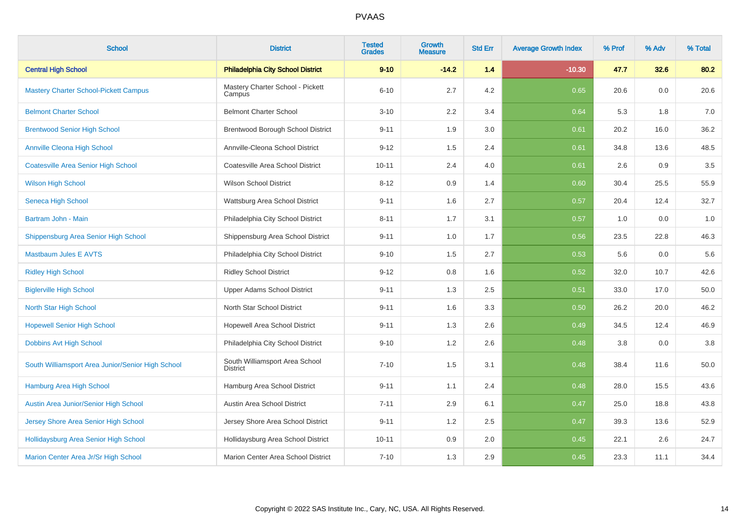| <b>School</b>                                     | <b>District</b>                                   | <b>Tested</b><br><b>Grades</b> | <b>Growth</b><br><b>Measure</b> | <b>Std Err</b> | <b>Average Growth Index</b> | % Prof | % Adv | % Total |
|---------------------------------------------------|---------------------------------------------------|--------------------------------|---------------------------------|----------------|-----------------------------|--------|-------|---------|
| <b>Central High School</b>                        | <b>Philadelphia City School District</b>          | $9 - 10$                       | $-14.2$                         | 1.4            | $-10.30$                    | 47.7   | 32.6  | 80.2    |
| <b>Mastery Charter School-Pickett Campus</b>      | Mastery Charter School - Pickett<br>Campus        | $6 - 10$                       | 2.7                             | 4.2            | 0.65                        | 20.6   | 0.0   | 20.6    |
| <b>Belmont Charter School</b>                     | <b>Belmont Charter School</b>                     | $3 - 10$                       | 2.2                             | 3.4            | 0.64                        | 5.3    | 1.8   | 7.0     |
| <b>Brentwood Senior High School</b>               | Brentwood Borough School District                 | $9 - 11$                       | 1.9                             | 3.0            | 0.61                        | 20.2   | 16.0  | 36.2    |
| <b>Annville Cleona High School</b>                | Annville-Cleona School District                   | $9 - 12$                       | 1.5                             | 2.4            | 0.61                        | 34.8   | 13.6  | 48.5    |
| <b>Coatesville Area Senior High School</b>        | Coatesville Area School District                  | $10 - 11$                      | 2.4                             | 4.0            | 0.61                        | 2.6    | 0.9   | $3.5\,$ |
| <b>Wilson High School</b>                         | <b>Wilson School District</b>                     | $8 - 12$                       | 0.9                             | 1.4            | 0.60                        | 30.4   | 25.5  | 55.9    |
| Seneca High School                                | Wattsburg Area School District                    | $9 - 11$                       | 1.6                             | 2.7            | 0.57                        | 20.4   | 12.4  | 32.7    |
| Bartram John - Main                               | Philadelphia City School District                 | $8 - 11$                       | 1.7                             | 3.1            | 0.57                        | 1.0    | 0.0   | 1.0     |
| Shippensburg Area Senior High School              | Shippensburg Area School District                 | $9 - 11$                       | 1.0                             | 1.7            | 0.56                        | 23.5   | 22.8  | 46.3    |
| <b>Mastbaum Jules E AVTS</b>                      | Philadelphia City School District                 | $9 - 10$                       | 1.5                             | 2.7            | 0.53                        | 5.6    | 0.0   | 5.6     |
| <b>Ridley High School</b>                         | <b>Ridley School District</b>                     | $9 - 12$                       | 0.8                             | 1.6            | 0.52                        | 32.0   | 10.7  | 42.6    |
| <b>Biglerville High School</b>                    | Upper Adams School District                       | $9 - 11$                       | 1.3                             | 2.5            | 0.51                        | 33.0   | 17.0  | 50.0    |
| <b>North Star High School</b>                     | North Star School District                        | $9 - 11$                       | 1.6                             | 3.3            | 0.50                        | 26.2   | 20.0  | 46.2    |
| <b>Hopewell Senior High School</b>                | Hopewell Area School District                     | $9 - 11$                       | 1.3                             | 2.6            | 0.49                        | 34.5   | 12.4  | 46.9    |
| Dobbins Avt High School                           | Philadelphia City School District                 | $9 - 10$                       | 1.2                             | 2.6            | 0.48                        | 3.8    | 0.0   | $3.8\,$ |
| South Williamsport Area Junior/Senior High School | South Williamsport Area School<br><b>District</b> | $7 - 10$                       | 1.5                             | 3.1            | 0.48                        | 38.4   | 11.6  | 50.0    |
| Hamburg Area High School                          | Hamburg Area School District                      | $9 - 11$                       | 1.1                             | 2.4            | 0.48                        | 28.0   | 15.5  | 43.6    |
| Austin Area Junior/Senior High School             | Austin Area School District                       | $7 - 11$                       | 2.9                             | 6.1            | 0.47                        | 25.0   | 18.8  | 43.8    |
| Jersey Shore Area Senior High School              | Jersey Shore Area School District                 | $9 - 11$                       | 1.2                             | 2.5            | 0.47                        | 39.3   | 13.6  | 52.9    |
| Hollidaysburg Area Senior High School             | Hollidaysburg Area School District                | $10 - 11$                      | 0.9                             | 2.0            | 0.45                        | 22.1   | 2.6   | 24.7    |
| Marion Center Area Jr/Sr High School              | Marion Center Area School District                | $7 - 10$                       | 1.3                             | 2.9            | 0.45                        | 23.3   | 11.1  | 34.4    |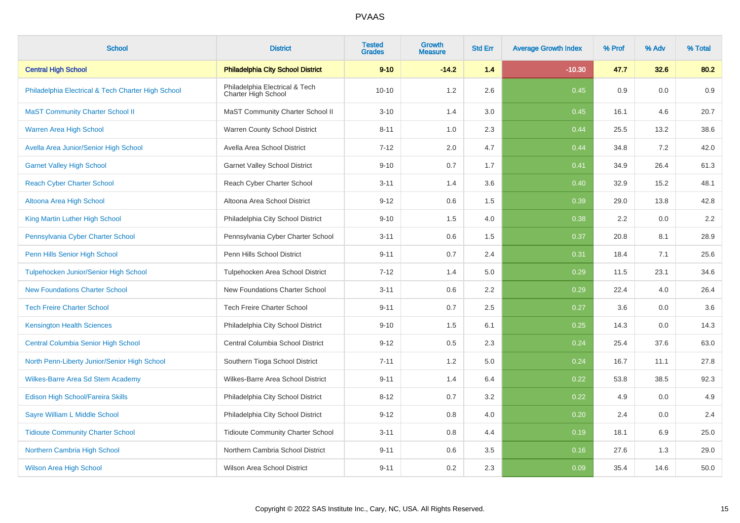| <b>School</b>                                      | <b>District</b>                                       | <b>Tested</b><br><b>Grades</b> | Growth<br><b>Measure</b> | <b>Std Err</b> | <b>Average Growth Index</b> | % Prof | % Adv | % Total |
|----------------------------------------------------|-------------------------------------------------------|--------------------------------|--------------------------|----------------|-----------------------------|--------|-------|---------|
| <b>Central High School</b>                         | <b>Philadelphia City School District</b>              | $9 - 10$                       | $-14.2$                  | 1.4            | $-10.30$                    | 47.7   | 32.6  | 80.2    |
| Philadelphia Electrical & Tech Charter High School | Philadelphia Electrical & Tech<br>Charter High School | $10 - 10$                      | 1.2                      | 2.6            | 0.45                        | 0.9    | 0.0   | 0.9     |
| <b>MaST Community Charter School II</b>            | MaST Community Charter School II                      | $3 - 10$                       | 1.4                      | 3.0            | 0.45                        | 16.1   | 4.6   | 20.7    |
| <b>Warren Area High School</b>                     | Warren County School District                         | $8 - 11$                       | 1.0                      | 2.3            | 0.44                        | 25.5   | 13.2  | 38.6    |
| Avella Area Junior/Senior High School              | Avella Area School District                           | $7 - 12$                       | 2.0                      | 4.7            | 0.44                        | 34.8   | 7.2   | 42.0    |
| <b>Garnet Valley High School</b>                   | <b>Garnet Valley School District</b>                  | $9 - 10$                       | 0.7                      | 1.7            | 0.41                        | 34.9   | 26.4  | 61.3    |
| <b>Reach Cyber Charter School</b>                  | Reach Cyber Charter School                            | $3 - 11$                       | 1.4                      | 3.6            | 0.40                        | 32.9   | 15.2  | 48.1    |
| Altoona Area High School                           | Altoona Area School District                          | $9 - 12$                       | 0.6                      | 1.5            | 0.39                        | 29.0   | 13.8  | 42.8    |
| King Martin Luther High School                     | Philadelphia City School District                     | $9 - 10$                       | 1.5                      | 4.0            | 0.38                        | 2.2    | 0.0   | 2.2     |
| Pennsylvania Cyber Charter School                  | Pennsylvania Cyber Charter School                     | $3 - 11$                       | 0.6                      | 1.5            | 0.37                        | 20.8   | 8.1   | 28.9    |
| Penn Hills Senior High School                      | Penn Hills School District                            | $9 - 11$                       | 0.7                      | 2.4            | 0.31                        | 18.4   | 7.1   | 25.6    |
| Tulpehocken Junior/Senior High School              | Tulpehocken Area School District                      | $7 - 12$                       | 1.4                      | 5.0            | 0.29                        | 11.5   | 23.1  | 34.6    |
| <b>New Foundations Charter School</b>              | New Foundations Charter School                        | $3 - 11$                       | 0.6                      | 2.2            | 0.29                        | 22.4   | 4.0   | 26.4    |
| <b>Tech Freire Charter School</b>                  | <b>Tech Freire Charter School</b>                     | $9 - 11$                       | 0.7                      | 2.5            | 0.27                        | 3.6    | 0.0   | 3.6     |
| <b>Kensington Health Sciences</b>                  | Philadelphia City School District                     | $9 - 10$                       | 1.5                      | 6.1            | 0.25                        | 14.3   | 0.0   | 14.3    |
| <b>Central Columbia Senior High School</b>         | Central Columbia School District                      | $9 - 12$                       | 0.5                      | 2.3            | 0.24                        | 25.4   | 37.6  | 63.0    |
| North Penn-Liberty Junior/Senior High School       | Southern Tioga School District                        | $7 - 11$                       | 1.2                      | 5.0            | 0.24                        | 16.7   | 11.1  | 27.8    |
| <b>Wilkes-Barre Area Sd Stem Academy</b>           | Wilkes-Barre Area School District                     | $9 - 11$                       | 1.4                      | 6.4            | 0.22                        | 53.8   | 38.5  | 92.3    |
| Edison High School/Fareira Skills                  | Philadelphia City School District                     | $8 - 12$                       | 0.7                      | 3.2            | 0.22                        | 4.9    | 0.0   | 4.9     |
| Sayre William L Middle School                      | Philadelphia City School District                     | $9 - 12$                       | 0.8                      | 4.0            | 0.20                        | 2.4    | 0.0   | 2.4     |
| <b>Tidioute Community Charter School</b>           | <b>Tidioute Community Charter School</b>              | $3 - 11$                       | 0.8                      | 4.4            | 0.19                        | 18.1   | 6.9   | 25.0    |
| Northern Cambria High School                       | Northern Cambria School District                      | $9 - 11$                       | 0.6                      | 3.5            | 0.16                        | 27.6   | 1.3   | 29.0    |
| <b>Wilson Area High School</b>                     | Wilson Area School District                           | $9 - 11$                       | 0.2                      | 2.3            | 0.09                        | 35.4   | 14.6  | 50.0    |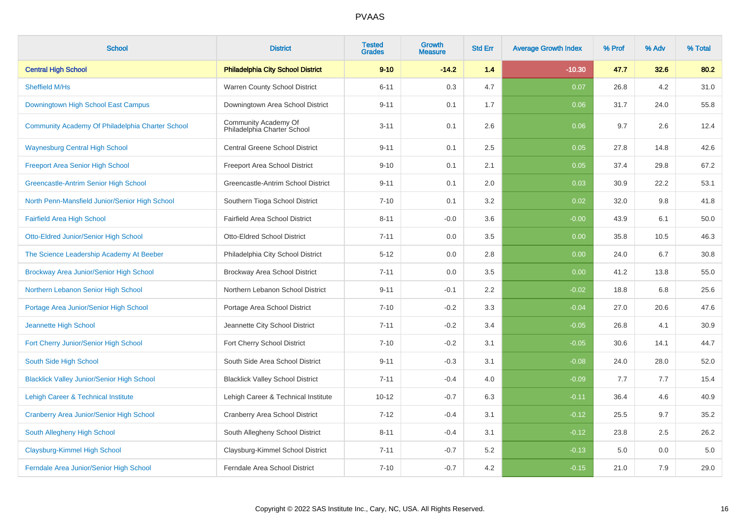| <b>School</b>                                     | <b>District</b>                                     | <b>Tested</b><br><b>Grades</b> | Growth<br><b>Measure</b> | <b>Std Err</b> | <b>Average Growth Index</b> | % Prof | % Adv | % Total |
|---------------------------------------------------|-----------------------------------------------------|--------------------------------|--------------------------|----------------|-----------------------------|--------|-------|---------|
| <b>Central High School</b>                        | <b>Philadelphia City School District</b>            | $9 - 10$                       | $-14.2$                  | 1.4            | $-10.30$                    | 47.7   | 32.6  | 80.2    |
| Sheffield M/Hs                                    | Warren County School District                       | $6 - 11$                       | 0.3                      | 4.7            | 0.07                        | 26.8   | 4.2   | 31.0    |
| Downingtown High School East Campus               | Downingtown Area School District                    | $9 - 11$                       | 0.1                      | 1.7            | 0.06                        | 31.7   | 24.0  | 55.8    |
| Community Academy Of Philadelphia Charter School  | Community Academy Of<br>Philadelphia Charter School | $3 - 11$                       | 0.1                      | 2.6            | 0.06                        | 9.7    | 2.6   | 12.4    |
| <b>Waynesburg Central High School</b>             | <b>Central Greene School District</b>               | $9 - 11$                       | 0.1                      | 2.5            | 0.05                        | 27.8   | 14.8  | 42.6    |
| <b>Freeport Area Senior High School</b>           | Freeport Area School District                       | $9 - 10$                       | 0.1                      | 2.1            | 0.05                        | 37.4   | 29.8  | 67.2    |
| Greencastle-Antrim Senior High School             | Greencastle-Antrim School District                  | $9 - 11$                       | 0.1                      | 2.0            | 0.03                        | 30.9   | 22.2  | 53.1    |
| North Penn-Mansfield Junior/Senior High School    | Southern Tioga School District                      | $7 - 10$                       | 0.1                      | 3.2            | 0.02                        | 32.0   | 9.8   | 41.8    |
| <b>Fairfield Area High School</b>                 | Fairfield Area School District                      | $8 - 11$                       | $-0.0$                   | 3.6            | $-0.00$                     | 43.9   | 6.1   | 50.0    |
| Otto-Eldred Junior/Senior High School             | Otto-Eldred School District                         | $7 - 11$                       | 0.0                      | 3.5            | 0.00                        | 35.8   | 10.5  | 46.3    |
| The Science Leadership Academy At Beeber          | Philadelphia City School District                   | $5 - 12$                       | 0.0                      | 2.8            | 0.00                        | 24.0   | 6.7   | 30.8    |
| Brockway Area Junior/Senior High School           | Brockway Area School District                       | $7 - 11$                       | 0.0                      | 3.5            | 0.00                        | 41.2   | 13.8  | 55.0    |
| Northern Lebanon Senior High School               | Northern Lebanon School District                    | $9 - 11$                       | $-0.1$                   | 2.2            | $-0.02$                     | 18.8   | 6.8   | 25.6    |
| Portage Area Junior/Senior High School            | Portage Area School District                        | $7 - 10$                       | $-0.2$                   | 3.3            | $-0.04$                     | 27.0   | 20.6  | 47.6    |
| Jeannette High School                             | Jeannette City School District                      | $7 - 11$                       | $-0.2$                   | 3.4            | $-0.05$                     | 26.8   | 4.1   | 30.9    |
| Fort Cherry Junior/Senior High School             | Fort Cherry School District                         | $7 - 10$                       | $-0.2$                   | 3.1            | $-0.05$                     | 30.6   | 14.1  | 44.7    |
| South Side High School                            | South Side Area School District                     | $9 - 11$                       | $-0.3$                   | 3.1            | $-0.08$                     | 24.0   | 28.0  | 52.0    |
| <b>Blacklick Valley Junior/Senior High School</b> | <b>Blacklick Valley School District</b>             | $7 - 11$                       | $-0.4$                   | 4.0            | $-0.09$                     | 7.7    | 7.7   | 15.4    |
| Lehigh Career & Technical Institute               | Lehigh Career & Technical Institute                 | $10 - 12$                      | $-0.7$                   | 6.3            | $-0.11$                     | 36.4   | 4.6   | 40.9    |
| <b>Cranberry Area Junior/Senior High School</b>   | Cranberry Area School District                      | $7 - 12$                       | $-0.4$                   | 3.1            | $-0.12$                     | 25.5   | 9.7   | 35.2    |
| South Allegheny High School                       | South Allegheny School District                     | $8 - 11$                       | $-0.4$                   | 3.1            | $-0.12$                     | 23.8   | 2.5   | 26.2    |
| Claysburg-Kimmel High School                      | Claysburg-Kimmel School District                    | $7 - 11$                       | $-0.7$                   | 5.2            | $-0.13$                     | 5.0    | 0.0   | 5.0     |
| Ferndale Area Junior/Senior High School           | Ferndale Area School District                       | $7 - 10$                       | $-0.7$                   | 4.2            | $-0.15$                     | 21.0   | 7.9   | 29.0    |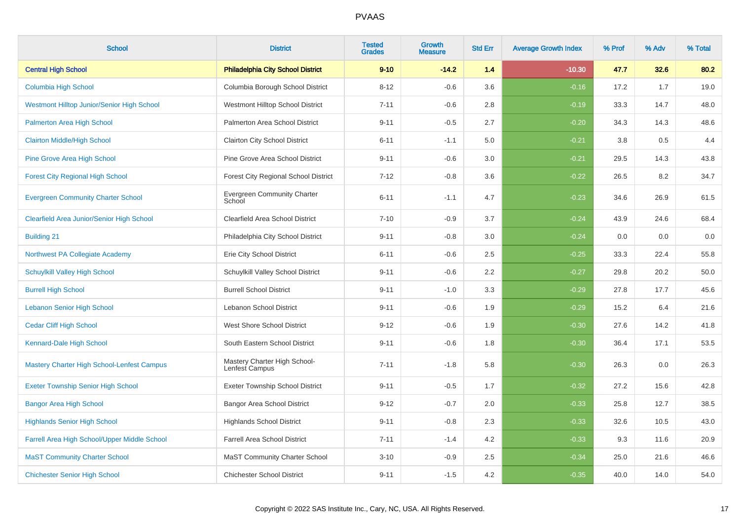| <b>School</b>                                     | <b>District</b>                                | <b>Tested</b><br><b>Grades</b> | Growth<br><b>Measure</b> | <b>Std Err</b> | <b>Average Growth Index</b> | % Prof | % Adv | % Total |
|---------------------------------------------------|------------------------------------------------|--------------------------------|--------------------------|----------------|-----------------------------|--------|-------|---------|
| <b>Central High School</b>                        | <b>Philadelphia City School District</b>       | $9 - 10$                       | $-14.2$                  | 1.4            | $-10.30$                    | 47.7   | 32.6  | 80.2    |
| Columbia High School                              | Columbia Borough School District               | $8 - 12$                       | $-0.6$                   | 3.6            | $-0.16$                     | 17.2   | 1.7   | 19.0    |
| Westmont Hilltop Junior/Senior High School        | Westmont Hilltop School District               | $7 - 11$                       | $-0.6$                   | 2.8            | $-0.19$                     | 33.3   | 14.7  | 48.0    |
| Palmerton Area High School                        | Palmerton Area School District                 | $9 - 11$                       | $-0.5$                   | 2.7            | $-0.20$                     | 34.3   | 14.3  | 48.6    |
| <b>Clairton Middle/High School</b>                | <b>Clairton City School District</b>           | $6 - 11$                       | $-1.1$                   | 5.0            | $-0.21$                     | 3.8    | 0.5   | 4.4     |
| Pine Grove Area High School                       | Pine Grove Area School District                | $9 - 11$                       | $-0.6$                   | 3.0            | $-0.21$                     | 29.5   | 14.3  | 43.8    |
| <b>Forest City Regional High School</b>           | <b>Forest City Regional School District</b>    | $7 - 12$                       | $-0.8$                   | 3.6            | $-0.22$                     | 26.5   | 8.2   | 34.7    |
| <b>Evergreen Community Charter School</b>         | <b>Evergreen Community Charter</b><br>School   | $6 - 11$                       | $-1.1$                   | 4.7            | $-0.23$                     | 34.6   | 26.9  | 61.5    |
| Clearfield Area Junior/Senior High School         | <b>Clearfield Area School District</b>         | $7 - 10$                       | $-0.9$                   | 3.7            | $-0.24$                     | 43.9   | 24.6  | 68.4    |
| <b>Building 21</b>                                | Philadelphia City School District              | $9 - 11$                       | $-0.8$                   | 3.0            | $-0.24$                     | 0.0    | 0.0   | 0.0     |
| Northwest PA Collegiate Academy                   | Erie City School District                      | $6 - 11$                       | $-0.6$                   | 2.5            | $-0.25$                     | 33.3   | 22.4  | 55.8    |
| <b>Schuylkill Valley High School</b>              | Schuylkill Valley School District              | $9 - 11$                       | $-0.6$                   | 2.2            | $-0.27$                     | 29.8   | 20.2  | 50.0    |
| <b>Burrell High School</b>                        | <b>Burrell School District</b>                 | $9 - 11$                       | $-1.0$                   | $3.3\,$        | $-0.29$                     | 27.8   | 17.7  | 45.6    |
| <b>Lebanon Senior High School</b>                 | Lebanon School District                        | $9 - 11$                       | $-0.6$                   | 1.9            | $-0.29$                     | 15.2   | 6.4   | 21.6    |
| <b>Cedar Cliff High School</b>                    | West Shore School District                     | $9 - 12$                       | $-0.6$                   | 1.9            | $-0.30$                     | 27.6   | 14.2  | 41.8    |
| Kennard-Dale High School                          | South Eastern School District                  | $9 - 11$                       | $-0.6$                   | 1.8            | $-0.30$                     | 36.4   | 17.1  | 53.5    |
| <b>Mastery Charter High School-Lenfest Campus</b> | Mastery Charter High School-<br>Lenfest Campus | $7 - 11$                       | $-1.8$                   | 5.8            | $-0.30$                     | 26.3   | 0.0   | 26.3    |
| <b>Exeter Township Senior High School</b>         | <b>Exeter Township School District</b>         | $9 - 11$                       | $-0.5$                   | 1.7            | $-0.32$                     | 27.2   | 15.6  | 42.8    |
| <b>Bangor Area High School</b>                    | <b>Bangor Area School District</b>             | $9 - 12$                       | $-0.7$                   | 2.0            | $-0.33$                     | 25.8   | 12.7  | 38.5    |
| <b>Highlands Senior High School</b>               | <b>Highlands School District</b>               | $9 - 11$                       | $-0.8$                   | 2.3            | $-0.33$                     | 32.6   | 10.5  | 43.0    |
| Farrell Area High School/Upper Middle School      | <b>Farrell Area School District</b>            | $7 - 11$                       | $-1.4$                   | 4.2            | $-0.33$                     | 9.3    | 11.6  | 20.9    |
| <b>MaST Community Charter School</b>              | <b>MaST Community Charter School</b>           | $3 - 10$                       | $-0.9$                   | 2.5            | $-0.34$                     | 25.0   | 21.6  | 46.6    |
| <b>Chichester Senior High School</b>              | <b>Chichester School District</b>              | $9 - 11$                       | $-1.5$                   | 4.2            | $-0.35$                     | 40.0   | 14.0  | 54.0    |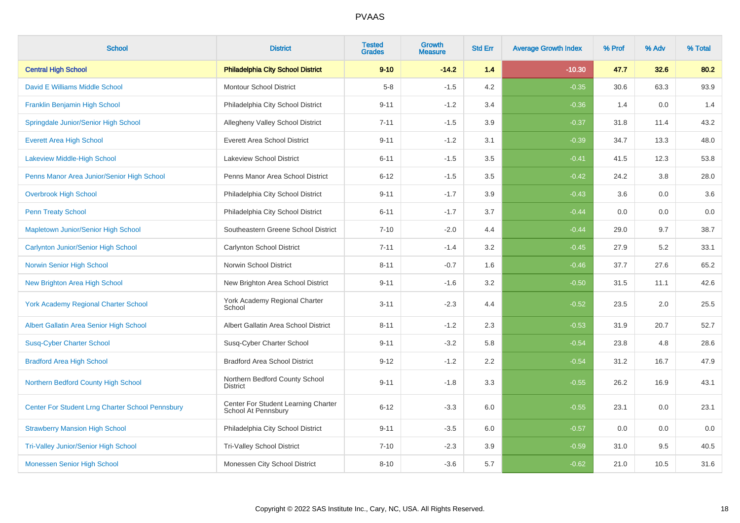| <b>School</b>                                    | <b>District</b>                                            | <b>Tested</b><br><b>Grades</b> | <b>Growth</b><br><b>Measure</b> | <b>Std Err</b> | <b>Average Growth Index</b> | % Prof | % Adv | % Total |
|--------------------------------------------------|------------------------------------------------------------|--------------------------------|---------------------------------|----------------|-----------------------------|--------|-------|---------|
| <b>Central High School</b>                       | <b>Philadelphia City School District</b>                   | $9 - 10$                       | $-14.2$                         | 1.4            | $-10.30$                    | 47.7   | 32.6  | 80.2    |
| David E Williams Middle School                   | <b>Montour School District</b>                             | $5 - 8$                        | $-1.5$                          | 4.2            | $-0.35$                     | 30.6   | 63.3  | 93.9    |
| Franklin Benjamin High School                    | Philadelphia City School District                          | $9 - 11$                       | $-1.2$                          | 3.4            | $-0.36$                     | 1.4    | 0.0   | 1.4     |
| Springdale Junior/Senior High School             | Allegheny Valley School District                           | $7 - 11$                       | $-1.5$                          | 3.9            | $-0.37$                     | 31.8   | 11.4  | 43.2    |
| <b>Everett Area High School</b>                  | <b>Everett Area School District</b>                        | $9 - 11$                       | $-1.2$                          | 3.1            | $-0.39$                     | 34.7   | 13.3  | 48.0    |
| <b>Lakeview Middle-High School</b>               | <b>Lakeview School District</b>                            | $6 - 11$                       | $-1.5$                          | 3.5            | $-0.41$                     | 41.5   | 12.3  | 53.8    |
| Penns Manor Area Junior/Senior High School       | Penns Manor Area School District                           | $6 - 12$                       | $-1.5$                          | 3.5            | $-0.42$                     | 24.2   | 3.8   | 28.0    |
| <b>Overbrook High School</b>                     | Philadelphia City School District                          | $9 - 11$                       | $-1.7$                          | 3.9            | $-0.43$                     | 3.6    | 0.0   | 3.6     |
| <b>Penn Treaty School</b>                        | Philadelphia City School District                          | $6 - 11$                       | $-1.7$                          | 3.7            | $-0.44$                     | 0.0    | 0.0   | $0.0\,$ |
| Mapletown Junior/Senior High School              | Southeastern Greene School District                        | $7 - 10$                       | $-2.0$                          | 4.4            | $-0.44$                     | 29.0   | 9.7   | 38.7    |
| <b>Carlynton Junior/Senior High School</b>       | <b>Carlynton School District</b>                           | $7 - 11$                       | $-1.4$                          | 3.2            | $-0.45$                     | 27.9   | 5.2   | 33.1    |
| Norwin Senior High School                        | Norwin School District                                     | $8 - 11$                       | $-0.7$                          | 1.6            | $-0.46$                     | 37.7   | 27.6  | 65.2    |
| New Brighton Area High School                    | New Brighton Area School District                          | $9 - 11$                       | $-1.6$                          | 3.2            | $-0.50$                     | 31.5   | 11.1  | 42.6    |
| <b>York Academy Regional Charter School</b>      | York Academy Regional Charter<br>School                    | $3 - 11$                       | $-2.3$                          | 4.4            | $-0.52$                     | 23.5   | 2.0   | 25.5    |
| Albert Gallatin Area Senior High School          | Albert Gallatin Area School District                       | $8 - 11$                       | $-1.2$                          | 2.3            | $-0.53$                     | 31.9   | 20.7  | 52.7    |
| <b>Susq-Cyber Charter School</b>                 | Susq-Cyber Charter School                                  | $9 - 11$                       | $-3.2$                          | 5.8            | $-0.54$                     | 23.8   | 4.8   | 28.6    |
| <b>Bradford Area High School</b>                 | <b>Bradford Area School District</b>                       | $9 - 12$                       | $-1.2$                          | 2.2            | $-0.54$                     | 31.2   | 16.7  | 47.9    |
| Northern Bedford County High School              | Northern Bedford County School<br><b>District</b>          | $9 - 11$                       | $-1.8$                          | 3.3            | $-0.55$                     | 26.2   | 16.9  | 43.1    |
| Center For Student Lrng Charter School Pennsbury | Center For Student Learning Charter<br>School At Pennsbury | $6 - 12$                       | $-3.3$                          | 6.0            | $-0.55$                     | 23.1   | 0.0   | 23.1    |
| <b>Strawberry Mansion High School</b>            | Philadelphia City School District                          | $9 - 11$                       | $-3.5$                          | 6.0            | $-0.57$                     | 0.0    | 0.0   | 0.0     |
| <b>Tri-Valley Junior/Senior High School</b>      | <b>Tri-Valley School District</b>                          | $7 - 10$                       | $-2.3$                          | 3.9            | $-0.59$                     | 31.0   | 9.5   | 40.5    |
| Monessen Senior High School                      | Monessen City School District                              | $8 - 10$                       | $-3.6$                          | 5.7            | $-0.62$                     | 21.0   | 10.5  | 31.6    |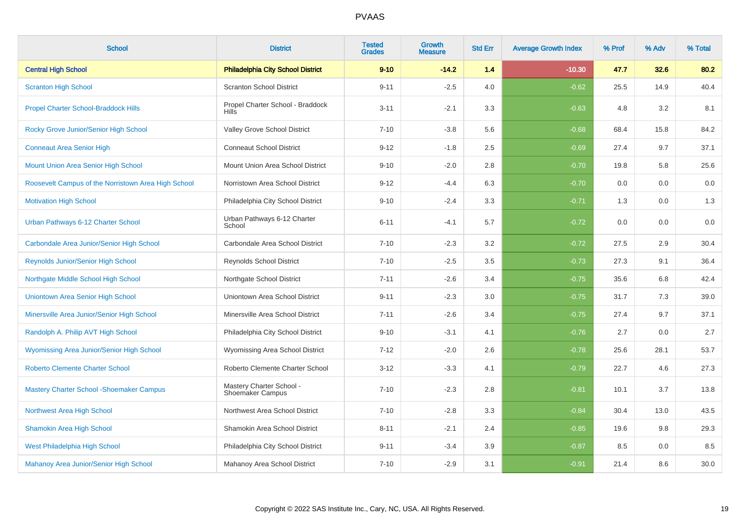| <b>School</b>                                       | <b>District</b>                                     | <b>Tested</b><br><b>Grades</b> | <b>Growth</b><br><b>Measure</b> | <b>Std Err</b> | <b>Average Growth Index</b> | % Prof | % Adv | % Total |
|-----------------------------------------------------|-----------------------------------------------------|--------------------------------|---------------------------------|----------------|-----------------------------|--------|-------|---------|
| <b>Central High School</b>                          | <b>Philadelphia City School District</b>            | $9 - 10$                       | $-14.2$                         | 1.4            | $-10.30$                    | 47.7   | 32.6  | 80.2    |
| <b>Scranton High School</b>                         | <b>Scranton School District</b>                     | $9 - 11$                       | $-2.5$                          | 4.0            | $-0.62$                     | 25.5   | 14.9  | 40.4    |
| <b>Propel Charter School-Braddock Hills</b>         | Propel Charter School - Braddock<br><b>Hills</b>    | $3 - 11$                       | $-2.1$                          | 3.3            | $-0.63$                     | 4.8    | 3.2   | 8.1     |
| Rocky Grove Junior/Senior High School               | Valley Grove School District                        | $7 - 10$                       | $-3.8$                          | 5.6            | $-0.68$                     | 68.4   | 15.8  | 84.2    |
| <b>Conneaut Area Senior High</b>                    | <b>Conneaut School District</b>                     | $9 - 12$                       | $-1.8$                          | 2.5            | $-0.69$                     | 27.4   | 9.7   | 37.1    |
| Mount Union Area Senior High School                 | Mount Union Area School District                    | $9 - 10$                       | $-2.0$                          | 2.8            | $-0.70$                     | 19.8   | 5.8   | 25.6    |
| Roosevelt Campus of the Norristown Area High School | Norristown Area School District                     | $9 - 12$                       | $-4.4$                          | 6.3            | $-0.70$                     | 0.0    | 0.0   | 0.0     |
| <b>Motivation High School</b>                       | Philadelphia City School District                   | $9 - 10$                       | $-2.4$                          | 3.3            | $-0.71$                     | 1.3    | 0.0   | 1.3     |
| Urban Pathways 6-12 Charter School                  | Urban Pathways 6-12 Charter<br>School               | $6 - 11$                       | $-4.1$                          | 5.7            | $-0.72$                     | 0.0    | 0.0   | 0.0     |
| Carbondale Area Junior/Senior High School           | Carbondale Area School District                     | $7 - 10$                       | $-2.3$                          | 3.2            | $-0.72$                     | 27.5   | 2.9   | 30.4    |
| <b>Reynolds Junior/Senior High School</b>           | <b>Reynolds School District</b>                     | $7 - 10$                       | $-2.5$                          | 3.5            | $-0.73$                     | 27.3   | 9.1   | 36.4    |
| Northgate Middle School High School                 | Northgate School District                           | $7 - 11$                       | $-2.6$                          | 3.4            | $-0.75$                     | 35.6   | 6.8   | 42.4    |
| <b>Uniontown Area Senior High School</b>            | Uniontown Area School District                      | $9 - 11$                       | $-2.3$                          | 3.0            | $-0.75$                     | 31.7   | 7.3   | 39.0    |
| Minersville Area Junior/Senior High School          | Minersville Area School District                    | $7 - 11$                       | $-2.6$                          | 3.4            | $-0.75$                     | 27.4   | 9.7   | 37.1    |
| Randolph A. Philip AVT High School                  | Philadelphia City School District                   | $9 - 10$                       | $-3.1$                          | 4.1            | $-0.76$                     | 2.7    | 0.0   | 2.7     |
| Wyomissing Area Junior/Senior High School           | Wyomissing Area School District                     | $7 - 12$                       | $-2.0$                          | 2.6            | $-0.78$                     | 25.6   | 28.1  | 53.7    |
| <b>Roberto Clemente Charter School</b>              | Roberto Clemente Charter School                     | $3 - 12$                       | $-3.3$                          | 4.1            | $-0.79$                     | 22.7   | 4.6   | 27.3    |
| <b>Mastery Charter School - Shoemaker Campus</b>    | Mastery Charter School -<br><b>Shoemaker Campus</b> | $7 - 10$                       | $-2.3$                          | 2.8            | $-0.81$                     | 10.1   | 3.7   | 13.8    |
| Northwest Area High School                          | Northwest Area School District                      | $7 - 10$                       | $-2.8$                          | 3.3            | $-0.84$                     | 30.4   | 13.0  | 43.5    |
| <b>Shamokin Area High School</b>                    | Shamokin Area School District                       | $8 - 11$                       | $-2.1$                          | 2.4            | $-0.85$                     | 19.6   | 9.8   | 29.3    |
| West Philadelphia High School                       | Philadelphia City School District                   | $9 - 11$                       | $-3.4$                          | 3.9            | $-0.87$                     | 8.5    | 0.0   | 8.5     |
| Mahanoy Area Junior/Senior High School              | Mahanoy Area School District                        | $7 - 10$                       | $-2.9$                          | 3.1            | $-0.91$                     | 21.4   | 8.6   | 30.0    |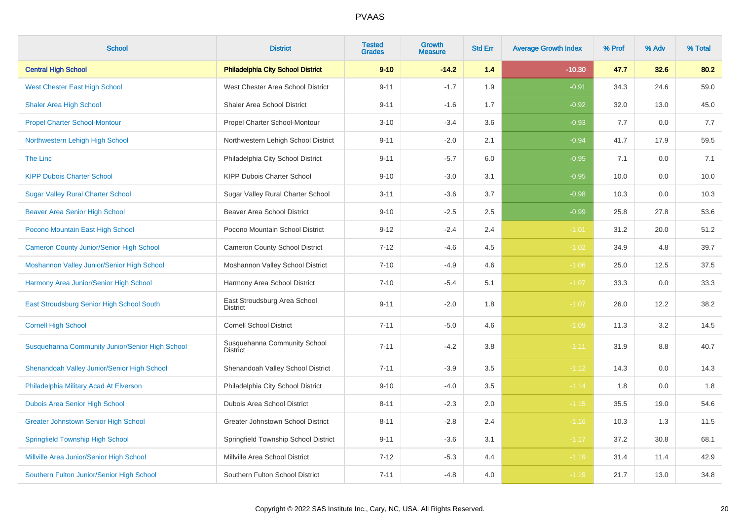| <b>School</b>                                   | <b>District</b>                                 | <b>Tested</b><br><b>Grades</b> | <b>Growth</b><br><b>Measure</b> | <b>Std Err</b> | <b>Average Growth Index</b> | % Prof | % Adv | % Total |
|-------------------------------------------------|-------------------------------------------------|--------------------------------|---------------------------------|----------------|-----------------------------|--------|-------|---------|
| <b>Central High School</b>                      | <b>Philadelphia City School District</b>        | $9 - 10$                       | $-14.2$                         | 1.4            | $-10.30$                    | 47.7   | 32.6  | 80.2    |
| <b>West Chester East High School</b>            | West Chester Area School District               | $9 - 11$                       | $-1.7$                          | 1.9            | $-0.91$                     | 34.3   | 24.6  | 59.0    |
| <b>Shaler Area High School</b>                  | Shaler Area School District                     | $9 - 11$                       | $-1.6$                          | 1.7            | $-0.92$                     | 32.0   | 13.0  | 45.0    |
| <b>Propel Charter School-Montour</b>            | Propel Charter School-Montour                   | $3 - 10$                       | $-3.4$                          | 3.6            | $-0.93$                     | 7.7    | 0.0   | 7.7     |
| Northwestern Lehigh High School                 | Northwestern Lehigh School District             | $9 - 11$                       | $-2.0$                          | 2.1            | $-0.94$                     | 41.7   | 17.9  | 59.5    |
| The Linc                                        | Philadelphia City School District               | $9 - 11$                       | $-5.7$                          | 6.0            | $-0.95$                     | 7.1    | 0.0   | 7.1     |
| <b>KIPP Dubois Charter School</b>               | KIPP Dubois Charter School                      | $9 - 10$                       | $-3.0$                          | 3.1            | $-0.95$                     | 10.0   | 0.0   | 10.0    |
| <b>Sugar Valley Rural Charter School</b>        | Sugar Valley Rural Charter School               | $3 - 11$                       | $-3.6$                          | 3.7            | $-0.98$                     | 10.3   | 0.0   | 10.3    |
| <b>Beaver Area Senior High School</b>           | <b>Beaver Area School District</b>              | $9 - 10$                       | $-2.5$                          | 2.5            | $-0.99$                     | 25.8   | 27.8  | 53.6    |
| Pocono Mountain East High School                | Pocono Mountain School District                 | $9 - 12$                       | $-2.4$                          | 2.4            | $-1.01$                     | 31.2   | 20.0  | 51.2    |
| <b>Cameron County Junior/Senior High School</b> | Cameron County School District                  | $7 - 12$                       | $-4.6$                          | 4.5            | $-1.02$                     | 34.9   | 4.8   | 39.7    |
| Moshannon Valley Junior/Senior High School      | Moshannon Valley School District                | $7 - 10$                       | $-4.9$                          | 4.6            | $-1.06$                     | 25.0   | 12.5  | 37.5    |
| Harmony Area Junior/Senior High School          | Harmony Area School District                    | $7 - 10$                       | $-5.4$                          | 5.1            | $-1.07$                     | 33.3   | 0.0   | 33.3    |
| East Stroudsburg Senior High School South       | East Stroudsburg Area School<br><b>District</b> | $9 - 11$                       | $-2.0$                          | 1.8            | $-1.07$                     | 26.0   | 12.2  | 38.2    |
| <b>Cornell High School</b>                      | <b>Cornell School District</b>                  | $7 - 11$                       | $-5.0$                          | 4.6            | $-1.09$                     | 11.3   | 3.2   | 14.5    |
| Susquehanna Community Junior/Senior High School | Susquehanna Community School<br><b>District</b> | $7 - 11$                       | $-4.2$                          | 3.8            | $-1.11$                     | 31.9   | 8.8   | 40.7    |
| Shenandoah Valley Junior/Senior High School     | Shenandoah Valley School District               | $7 - 11$                       | $-3.9$                          | 3.5            | $-1.12$                     | 14.3   | 0.0   | 14.3    |
| Philadelphia Military Acad At Elverson          | Philadelphia City School District               | $9 - 10$                       | $-4.0$                          | 3.5            | $-1.14$                     | 1.8    | 0.0   | 1.8     |
| Dubois Area Senior High School                  | Dubois Area School District                     | $8 - 11$                       | $-2.3$                          | 2.0            | $-1.15$                     | 35.5   | 19.0  | 54.6    |
| <b>Greater Johnstown Senior High School</b>     | Greater Johnstown School District               | $8 - 11$                       | $-2.8$                          | 2.4            | $-1.16$                     | 10.3   | 1.3   | 11.5    |
| <b>Springfield Township High School</b>         | Springfield Township School District            | $9 - 11$                       | $-3.6$                          | 3.1            | $-1.17$                     | 37.2   | 30.8  | 68.1    |
| Millville Area Junior/Senior High School        | Millville Area School District                  | $7 - 12$                       | $-5.3$                          | 4.4            | $-1.19$                     | 31.4   | 11.4  | 42.9    |
| Southern Fulton Junior/Senior High School       | Southern Fulton School District                 | $7 - 11$                       | $-4.8$                          | 4.0            | $-1.19$                     | 21.7   | 13.0  | 34.8    |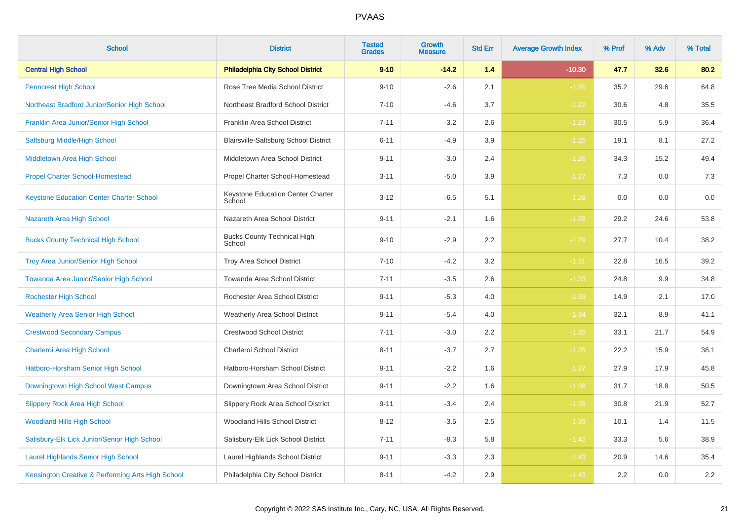| <b>School</b>                                     | <b>District</b>                              | <b>Tested</b><br><b>Grades</b> | <b>Growth</b><br><b>Measure</b> | <b>Std Err</b> | <b>Average Growth Index</b> | % Prof | % Adv | % Total |
|---------------------------------------------------|----------------------------------------------|--------------------------------|---------------------------------|----------------|-----------------------------|--------|-------|---------|
| <b>Central High School</b>                        | <b>Philadelphia City School District</b>     | $9 - 10$                       | $-14.2$                         | 1.4            | $-10.30$                    | 47.7   | 32.6  | 80.2    |
| <b>Penncrest High School</b>                      | Rose Tree Media School District              | $9 - 10$                       | $-2.6$                          | 2.1            | $-1.20$                     | 35.2   | 29.6  | 64.8    |
| Northeast Bradford Junior/Senior High School      | Northeast Bradford School District           | $7 - 10$                       | $-4.6$                          | 3.7            | $-1.22$                     | 30.6   | 4.8   | 35.5    |
| Franklin Area Junior/Senior High School           | Franklin Area School District                | $7 - 11$                       | $-3.2$                          | 2.6            | $-1.23$                     | 30.5   | 5.9   | 36.4    |
| Saltsburg Middle/High School                      | Blairsville-Saltsburg School District        | $6 - 11$                       | $-4.9$                          | 3.9            | $-1.25$                     | 19.1   | 8.1   | 27.2    |
| Middletown Area High School                       | Middletown Area School District              | $9 - 11$                       | $-3.0$                          | 2.4            | $-1.26$                     | 34.3   | 15.2  | 49.4    |
| <b>Propel Charter School-Homestead</b>            | Propel Charter School-Homestead              | $3 - 11$                       | $-5.0$                          | 3.9            | $-1.27$                     | 7.3    | 0.0   | $7.3$   |
| <b>Keystone Education Center Charter School</b>   | Keystone Education Center Charter<br>School  | $3 - 12$                       | $-6.5$                          | 5.1            | $-1.28$                     | 0.0    | 0.0   | 0.0     |
| Nazareth Area High School                         | Nazareth Area School District                | $9 - 11$                       | $-2.1$                          | 1.6            | $-1.28$                     | 29.2   | 24.6  | 53.8    |
| <b>Bucks County Technical High School</b>         | <b>Bucks County Technical High</b><br>School | $9 - 10$                       | $-2.9$                          | 2.2            | $-1.29$                     | 27.7   | 10.4  | 38.2    |
| <b>Troy Area Junior/Senior High School</b>        | Troy Area School District                    | $7 - 10$                       | $-4.2$                          | 3.2            | $-1.31$                     | 22.8   | 16.5  | 39.2    |
| Towanda Area Junior/Senior High School            | Towanda Area School District                 | $7 - 11$                       | $-3.5$                          | 2.6            | $-1.33$                     | 24.8   | 9.9   | 34.8    |
| <b>Rochester High School</b>                      | Rochester Area School District               | $9 - 11$                       | $-5.3$                          | 4.0            | $-1.33$                     | 14.9   | 2.1   | 17.0    |
| <b>Weatherly Area Senior High School</b>          | <b>Weatherly Area School District</b>        | $9 - 11$                       | $-5.4$                          | 4.0            | $-1.34$                     | 32.1   | 8.9   | 41.1    |
| <b>Crestwood Secondary Campus</b>                 | <b>Crestwood School District</b>             | $7 - 11$                       | $-3.0$                          | 2.2            | $-1.35$                     | 33.1   | 21.7  | 54.9    |
| Charleroi Area High School                        | Charleroi School District                    | $8 - 11$                       | $-3.7$                          | 2.7            | $-1.35$                     | 22.2   | 15.9  | 38.1    |
| Hatboro-Horsham Senior High School                | Hatboro-Horsham School District              | $9 - 11$                       | $-2.2$                          | 1.6            | $-1.37$                     | 27.9   | 17.9  | 45.8    |
| Downingtown High School West Campus               | Downingtown Area School District             | $9 - 11$                       | $-2.2$                          | 1.6            | $-1.38$                     | 31.7   | 18.8  | 50.5    |
| <b>Slippery Rock Area High School</b>             | Slippery Rock Area School District           | $9 - 11$                       | $-3.4$                          | 2.4            | $-1.39$                     | 30.8   | 21.9  | 52.7    |
| <b>Woodland Hills High School</b>                 | Woodland Hills School District               | $8 - 12$                       | $-3.5$                          | 2.5            | $-1.39$                     | 10.1   | 1.4   | 11.5    |
| Salisbury-Elk Lick Junior/Senior High School      | Salisbury-Elk Lick School District           | $7 - 11$                       | $-8.3$                          | 5.8            | $-1.42$                     | 33.3   | 5.6   | 38.9    |
| <b>Laurel Highlands Senior High School</b>        | Laurel Highlands School District             | $9 - 11$                       | $-3.3$                          | 2.3            | $-1.43$                     | 20.9   | 14.6  | 35.4    |
| Kensington Creative & Performing Arts High School | Philadelphia City School District            | $8 - 11$                       | $-4.2$                          | 2.9            | $-1.43$                     | 2.2    | 0.0   | $2.2\,$ |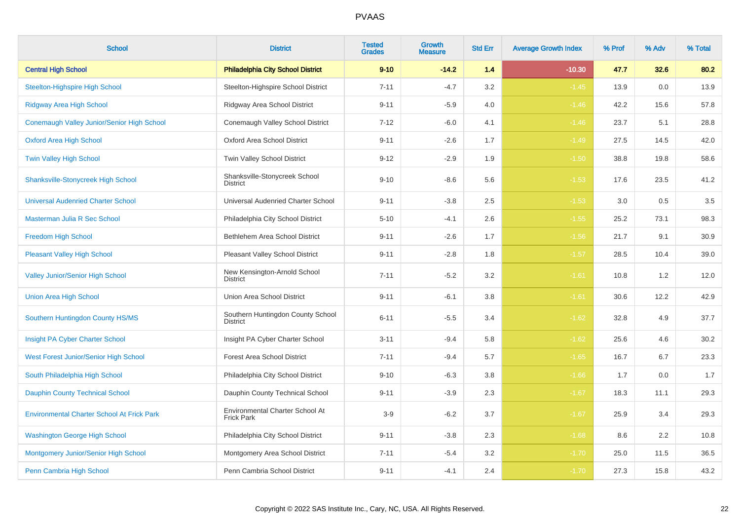| <b>School</b>                                     | <b>District</b>                                      | <b>Tested</b><br><b>Grades</b> | Growth<br><b>Measure</b> | <b>Std Err</b> | <b>Average Growth Index</b> | % Prof | % Adv | % Total |
|---------------------------------------------------|------------------------------------------------------|--------------------------------|--------------------------|----------------|-----------------------------|--------|-------|---------|
| <b>Central High School</b>                        | <b>Philadelphia City School District</b>             | $9 - 10$                       | $-14.2$                  | 1.4            | $-10.30$                    | 47.7   | 32.6  | 80.2    |
| <b>Steelton-Highspire High School</b>             | Steelton-Highspire School District                   | $7 - 11$                       | $-4.7$                   | 3.2            | $-1.45$                     | 13.9   | 0.0   | 13.9    |
| <b>Ridgway Area High School</b>                   | Ridgway Area School District                         | $9 - 11$                       | $-5.9$                   | 4.0            | $-1.46$                     | 42.2   | 15.6  | 57.8    |
| Conemaugh Valley Junior/Senior High School        | Conemaugh Valley School District                     | $7 - 12$                       | $-6.0$                   | 4.1            | $-1.46$                     | 23.7   | 5.1   | 28.8    |
| <b>Oxford Area High School</b>                    | Oxford Area School District                          | $9 - 11$                       | $-2.6$                   | 1.7            | $-1.49$                     | 27.5   | 14.5  | 42.0    |
| <b>Twin Valley High School</b>                    | Twin Valley School District                          | $9 - 12$                       | $-2.9$                   | 1.9            | $-1.50$                     | 38.8   | 19.8  | 58.6    |
| <b>Shanksville-Stonycreek High School</b>         | Shanksville-Stonycreek School<br><b>District</b>     | $9 - 10$                       | $-8.6$                   | 5.6            | $-1.53$                     | 17.6   | 23.5  | 41.2    |
| <b>Universal Audenried Charter School</b>         | Universal Audenried Charter School                   | $9 - 11$                       | $-3.8$                   | 2.5            | $-1.53$                     | 3.0    | 0.5   | $3.5\,$ |
| Masterman Julia R Sec School                      | Philadelphia City School District                    | $5 - 10$                       | $-4.1$                   | 2.6            | $-1.55$                     | 25.2   | 73.1  | 98.3    |
| Freedom High School                               | Bethlehem Area School District                       | $9 - 11$                       | $-2.6$                   | 1.7            | $-1.56$                     | 21.7   | 9.1   | 30.9    |
| <b>Pleasant Valley High School</b>                | Pleasant Valley School District                      | $9 - 11$                       | $-2.8$                   | 1.8            | $-1.57$                     | 28.5   | 10.4  | 39.0    |
| <b>Valley Junior/Senior High School</b>           | New Kensington-Arnold School<br><b>District</b>      | $7 - 11$                       | $-5.2$                   | 3.2            | $-1.61$                     | 10.8   | 1.2   | 12.0    |
| <b>Union Area High School</b>                     | Union Area School District                           | $9 - 11$                       | $-6.1$                   | 3.8            | $-1.61$                     | 30.6   | 12.2  | 42.9    |
| Southern Huntingdon County HS/MS                  | Southern Huntingdon County School<br><b>District</b> | $6 - 11$                       | $-5.5$                   | 3.4            | $-1.62$                     | 32.8   | 4.9   | 37.7    |
| Insight PA Cyber Charter School                   | Insight PA Cyber Charter School                      | $3 - 11$                       | $-9.4$                   | 5.8            | $-1.62$                     | 25.6   | 4.6   | 30.2    |
| West Forest Junior/Senior High School             | <b>Forest Area School District</b>                   | $7 - 11$                       | $-9.4$                   | 5.7            | $-1.65$                     | 16.7   | 6.7   | 23.3    |
| South Philadelphia High School                    | Philadelphia City School District                    | $9 - 10$                       | $-6.3$                   | 3.8            | $-1.66$                     | 1.7    | 0.0   | 1.7     |
| <b>Dauphin County Technical School</b>            | Dauphin County Technical School                      | $9 - 11$                       | $-3.9$                   | 2.3            | $-1.67$                     | 18.3   | 11.1  | 29.3    |
| <b>Environmental Charter School At Frick Park</b> | Environmental Charter School At<br><b>Frick Park</b> | $3-9$                          | $-6.2$                   | 3.7            | $-1.67$                     | 25.9   | 3.4   | 29.3    |
| <b>Washington George High School</b>              | Philadelphia City School District                    | $9 - 11$                       | $-3.8$                   | $2.3\,$        | $-1.68$                     | 8.6    | 2.2   | 10.8    |
| Montgomery Junior/Senior High School              | Montgomery Area School District                      | $7 - 11$                       | $-5.4$                   | $3.2\,$        | $-1.70$                     | 25.0   | 11.5  | 36.5    |
| Penn Cambria High School                          | Penn Cambria School District                         | $9 - 11$                       | $-4.1$                   | 2.4            | $-1.70$                     | 27.3   | 15.8  | 43.2    |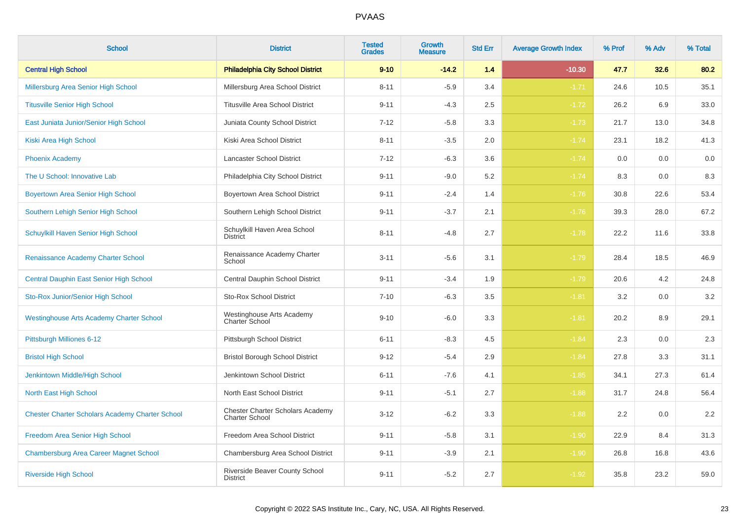| <b>School</b>                                          | <b>District</b>                                                  | <b>Tested</b><br><b>Grades</b> | Growth<br><b>Measure</b> | <b>Std Err</b> | <b>Average Growth Index</b> | % Prof | % Adv | % Total |
|--------------------------------------------------------|------------------------------------------------------------------|--------------------------------|--------------------------|----------------|-----------------------------|--------|-------|---------|
| <b>Central High School</b>                             | <b>Philadelphia City School District</b>                         | $9 - 10$                       | $-14.2$                  | 1.4            | $-10.30$                    | 47.7   | 32.6  | 80.2    |
| Millersburg Area Senior High School                    | Millersburg Area School District                                 | $8 - 11$                       | $-5.9$                   | 3.4            | $-1.71$                     | 24.6   | 10.5  | 35.1    |
| <b>Titusville Senior High School</b>                   | <b>Titusville Area School District</b>                           | $9 - 11$                       | $-4.3$                   | 2.5            | $-1.72$                     | 26.2   | 6.9   | 33.0    |
| East Juniata Junior/Senior High School                 | Juniata County School District                                   | $7 - 12$                       | $-5.8$                   | 3.3            | $-1.73$                     | 21.7   | 13.0  | 34.8    |
| Kiski Area High School                                 | Kiski Area School District                                       | $8 - 11$                       | $-3.5$                   | 2.0            | $-1.74$                     | 23.1   | 18.2  | 41.3    |
| <b>Phoenix Academy</b>                                 | Lancaster School District                                        | $7 - 12$                       | $-6.3$                   | 3.6            | $-1.74$                     | 0.0    | 0.0   | 0.0     |
| The U School: Innovative Lab                           | Philadelphia City School District                                | $9 - 11$                       | $-9.0$                   | 5.2            | $-1.74$                     | 8.3    | 0.0   | 8.3     |
| <b>Boyertown Area Senior High School</b>               | Boyertown Area School District                                   | $9 - 11$                       | $-2.4$                   | 1.4            | $-1.76$                     | 30.8   | 22.6  | 53.4    |
| Southern Lehigh Senior High School                     | Southern Lehigh School District                                  | $9 - 11$                       | $-3.7$                   | 2.1            | $-1.76$                     | 39.3   | 28.0  | 67.2    |
| Schuylkill Haven Senior High School                    | Schuylkill Haven Area School<br><b>District</b>                  | $8 - 11$                       | $-4.8$                   | 2.7            | $-1.78$                     | 22.2   | 11.6  | 33.8    |
| Renaissance Academy Charter School                     | Renaissance Academy Charter<br>School                            | $3 - 11$                       | $-5.6$                   | 3.1            | $-1.79$                     | 28.4   | 18.5  | 46.9    |
| Central Dauphin East Senior High School                | Central Dauphin School District                                  | $9 - 11$                       | $-3.4$                   | 1.9            | $-1.79$                     | 20.6   | 4.2   | 24.8    |
| Sto-Rox Junior/Senior High School                      | <b>Sto-Rox School District</b>                                   | $7 - 10$                       | $-6.3$                   | 3.5            | $-1.81$                     | 3.2    | 0.0   | 3.2     |
| <b>Westinghouse Arts Academy Charter School</b>        | Westinghouse Arts Academy<br>Charter School                      | $9 - 10$                       | $-6.0$                   | 3.3            | $-1.81$                     | 20.2   | 8.9   | 29.1    |
| Pittsburgh Milliones 6-12                              | Pittsburgh School District                                       | $6 - 11$                       | $-8.3$                   | 4.5            | $-1.84$                     | 2.3    | 0.0   | $2.3\,$ |
| <b>Bristol High School</b>                             | <b>Bristol Borough School District</b>                           | $9 - 12$                       | $-5.4$                   | 2.9            | $-1.84$                     | 27.8   | 3.3   | 31.1    |
| Jenkintown Middle/High School                          | Jenkintown School District                                       | $6 - 11$                       | $-7.6$                   | 4.1            | $-1.85$                     | 34.1   | 27.3  | 61.4    |
| North East High School                                 | North East School District                                       | $9 - 11$                       | $-5.1$                   | 2.7            | $-1.88$                     | 31.7   | 24.8  | 56.4    |
| <b>Chester Charter Scholars Academy Charter School</b> | <b>Chester Charter Scholars Academy</b><br><b>Charter School</b> | $3 - 12$                       | $-6.2$                   | 3.3            | $-1.88$                     | 2.2    | 0.0   | 2.2     |
| Freedom Area Senior High School                        | Freedom Area School District                                     | $9 - 11$                       | $-5.8$                   | 3.1            | $-1.90$                     | 22.9   | 8.4   | 31.3    |
| <b>Chambersburg Area Career Magnet School</b>          | Chambersburg Area School District                                | $9 - 11$                       | $-3.9$                   | 2.1            | $-1.90$                     | 26.8   | 16.8  | 43.6    |
| <b>Riverside High School</b>                           | Riverside Beaver County School<br><b>District</b>                | $9 - 11$                       | $-5.2$                   | 2.7            | $-1.92$                     | 35.8   | 23.2  | 59.0    |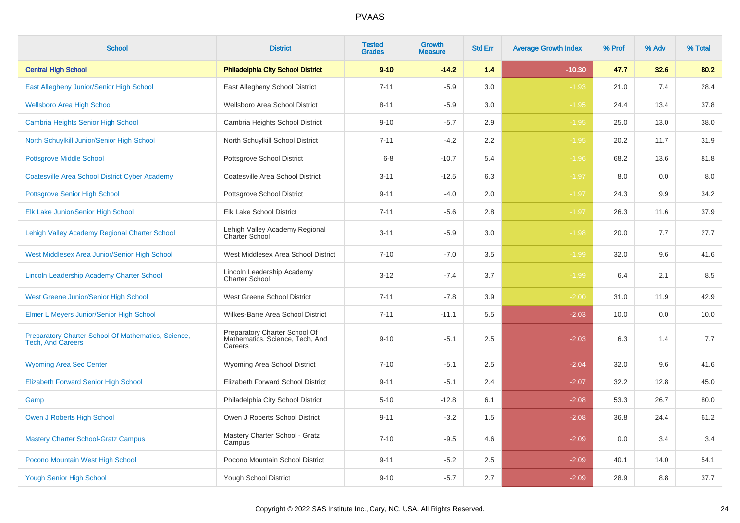| <b>School</b>                                                                   | <b>District</b>                                                             | <b>Tested</b><br><b>Grades</b> | <b>Growth</b><br><b>Measure</b> | <b>Std Err</b> | <b>Average Growth Index</b> | % Prof | % Adv | % Total |
|---------------------------------------------------------------------------------|-----------------------------------------------------------------------------|--------------------------------|---------------------------------|----------------|-----------------------------|--------|-------|---------|
| <b>Central High School</b>                                                      | <b>Philadelphia City School District</b>                                    | $9 - 10$                       | $-14.2$                         | 1.4            | $-10.30$                    | 47.7   | 32.6  | 80.2    |
| East Allegheny Junior/Senior High School                                        | East Allegheny School District                                              | $7 - 11$                       | $-5.9$                          | 3.0            | $-1.93$                     | 21.0   | 7.4   | 28.4    |
| <b>Wellsboro Area High School</b>                                               | Wellsboro Area School District                                              | $8 - 11$                       | $-5.9$                          | 3.0            | $-1.95$                     | 24.4   | 13.4  | 37.8    |
| <b>Cambria Heights Senior High School</b>                                       | Cambria Heights School District                                             | $9 - 10$                       | $-5.7$                          | 2.9            | $-1.95$                     | 25.0   | 13.0  | 38.0    |
| North Schuylkill Junior/Senior High School                                      | North Schuylkill School District                                            | $7 - 11$                       | $-4.2$                          | 2.2            | $-1.95$                     | 20.2   | 11.7  | 31.9    |
| <b>Pottsgrove Middle School</b>                                                 | Pottsgrove School District                                                  | $6 - 8$                        | $-10.7$                         | 5.4            | $-1.96$                     | 68.2   | 13.6  | 81.8    |
| <b>Coatesville Area School District Cyber Academy</b>                           | Coatesville Area School District                                            | $3 - 11$                       | $-12.5$                         | 6.3            | $-1.97$                     | 8.0    | 0.0   | 8.0     |
| Pottsgrove Senior High School                                                   | Pottsgrove School District                                                  | $9 - 11$                       | $-4.0$                          | 2.0            | $-1.97$                     | 24.3   | 9.9   | 34.2    |
| Elk Lake Junior/Senior High School                                              | Elk Lake School District                                                    | $7 - 11$                       | $-5.6$                          | 2.8            | $-1.97$                     | 26.3   | 11.6  | 37.9    |
| Lehigh Valley Academy Regional Charter School                                   | Lehigh Valley Academy Regional<br>Charter School                            | $3 - 11$                       | $-5.9$                          | 3.0            | $-1.98$                     | 20.0   | 7.7   | 27.7    |
| West Middlesex Area Junior/Senior High School                                   | West Middlesex Area School District                                         | $7 - 10$                       | $-7.0$                          | 3.5            | $-1.99$                     | 32.0   | 9.6   | 41.6    |
| Lincoln Leadership Academy Charter School                                       | Lincoln Leadership Academy<br><b>Charter School</b>                         | $3 - 12$                       | $-7.4$                          | 3.7            | $-1.99$                     | 6.4    | 2.1   | 8.5     |
| West Greene Junior/Senior High School                                           | West Greene School District                                                 | $7 - 11$                       | $-7.8$                          | 3.9            | $-2.00$                     | 31.0   | 11.9  | 42.9    |
| Elmer L Meyers Junior/Senior High School                                        | Wilkes-Barre Area School District                                           | $7 - 11$                       | $-11.1$                         | 5.5            | $-2.03$                     | 10.0   | 0.0   | 10.0    |
| Preparatory Charter School Of Mathematics, Science,<br><b>Tech, And Careers</b> | Preparatory Charter School Of<br>Mathematics, Science, Tech, And<br>Careers | $9 - 10$                       | $-5.1$                          | 2.5            | $-2.03$                     | 6.3    | 1.4   | 7.7     |
| <b>Wyoming Area Sec Center</b>                                                  | Wyoming Area School District                                                | $7 - 10$                       | $-5.1$                          | 2.5            | $-2.04$                     | 32.0   | 9.6   | 41.6    |
| <b>Elizabeth Forward Senior High School</b>                                     | Elizabeth Forward School District                                           | $9 - 11$                       | $-5.1$                          | 2.4            | $-2.07$                     | 32.2   | 12.8  | 45.0    |
| Gamp                                                                            | Philadelphia City School District                                           | $5 - 10$                       | $-12.8$                         | 6.1            | $-2.08$                     | 53.3   | 26.7  | 80.0    |
| Owen J Roberts High School                                                      | Owen J Roberts School District                                              | $9 - 11$                       | $-3.2$                          | 1.5            | $-2.08$                     | 36.8   | 24.4  | 61.2    |
| <b>Mastery Charter School-Gratz Campus</b>                                      | Mastery Charter School - Gratz<br>Campus                                    | $7 - 10$                       | $-9.5$                          | 4.6            | $-2.09$                     | 0.0    | 3.4   | 3.4     |
| Pocono Mountain West High School                                                | Pocono Mountain School District                                             | $9 - 11$                       | $-5.2$                          | 2.5            | $-2.09$                     | 40.1   | 14.0  | 54.1    |
| <b>Yough Senior High School</b>                                                 | Yough School District                                                       | $9 - 10$                       | $-5.7$                          | 2.7            | $-2.09$                     | 28.9   | 8.8   | 37.7    |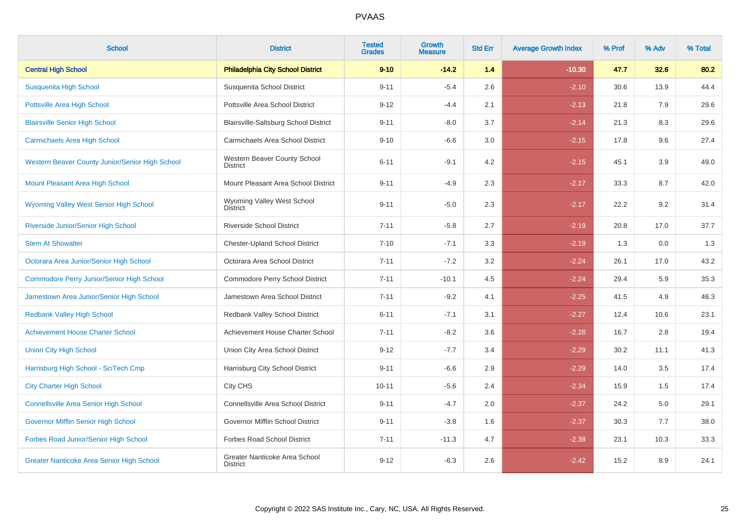| <b>School</b>                                    | <b>District</b>                                  | <b>Tested</b><br><b>Grades</b> | <b>Growth</b><br><b>Measure</b> | <b>Std Err</b> | <b>Average Growth Index</b> | % Prof | % Adv | % Total |
|--------------------------------------------------|--------------------------------------------------|--------------------------------|---------------------------------|----------------|-----------------------------|--------|-------|---------|
| <b>Central High School</b>                       | <b>Philadelphia City School District</b>         | $9 - 10$                       | $-14.2$                         | 1.4            | $-10.30$                    | 47.7   | 32.6  | 80.2    |
| Susquenita High School                           | Susquenita School District                       | $9 - 11$                       | $-5.4$                          | 2.6            | $-2.10$                     | 30.6   | 13.9  | 44.4    |
| <b>Pottsville Area High School</b>               | Pottsville Area School District                  | $9 - 12$                       | $-4.4$                          | 2.1            | $-2.13$                     | 21.8   | 7.9   | 29.6    |
| <b>Blairsville Senior High School</b>            | Blairsville-Saltsburg School District            | $9 - 11$                       | $-8.0$                          | 3.7            | $-2.14$                     | 21.3   | 8.3   | 29.6    |
| <b>Carmichaels Area High School</b>              | Carmichaels Area School District                 | $9 - 10$                       | $-6.6$                          | 3.0            | $-2.15$                     | 17.8   | 9.6   | 27.4    |
| Western Beaver County Junior/Senior High School  | Western Beaver County School<br><b>District</b>  | $6 - 11$                       | $-9.1$                          | 4.2            | $-2.15$                     | 45.1   | 3.9   | 49.0    |
| Mount Pleasant Area High School                  | Mount Pleasant Area School District              | $9 - 11$                       | $-4.9$                          | 2.3            | $-2.17$                     | 33.3   | 8.7   | 42.0    |
| Wyoming Valley West Senior High School           | Wyoming Valley West School<br><b>District</b>    | $9 - 11$                       | $-5.0$                          | 2.3            | $-2.17$                     | 22.2   | 9.2   | 31.4    |
| Riverside Junior/Senior High School              | <b>Riverside School District</b>                 | $7 - 11$                       | $-5.8$                          | 2.7            | $-2.19$                     | 20.8   | 17.0  | 37.7    |
| <b>Stem At Showalter</b>                         | <b>Chester-Upland School District</b>            | $7 - 10$                       | $-7.1$                          | 3.3            | $-2.19$                     | 1.3    | 0.0   | 1.3     |
| Octorara Area Junior/Senior High School          | Octorara Area School District                    | $7 - 11$                       | $-7.2$                          | 3.2            | $-2.24$                     | 26.1   | 17.0  | 43.2    |
| <b>Commodore Perry Junior/Senior High School</b> | Commodore Perry School District                  | $7 - 11$                       | $-10.1$                         | 4.5            | $-2.24$                     | 29.4   | 5.9   | 35.3    |
| Jamestown Area Junior/Senior High School         | Jamestown Area School District                   | $7 - 11$                       | $-9.2$                          | 4.1            | $-2.25$                     | 41.5   | 4.9   | 46.3    |
| <b>Redbank Valley High School</b>                | Redbank Valley School District                   | $6 - 11$                       | $-7.1$                          | 3.1            | $-2.27$                     | 12.4   | 10.6  | 23.1    |
| <b>Achievement House Charter School</b>          | Achievement House Charter School                 | $7 - 11$                       | $-8.2$                          | 3.6            | $-2.28$                     | 16.7   | 2.8   | 19.4    |
| <b>Union City High School</b>                    | Union City Area School District                  | $9 - 12$                       | $-7.7$                          | 3.4            | $-2.29$                     | 30.2   | 11.1  | 41.3    |
| Harrisburg High School - SciTech Cmp             | Harrisburg City School District                  | $9 - 11$                       | $-6.6$                          | 2.9            | $-2.29$                     | 14.0   | 3.5   | 17.4    |
| <b>City Charter High School</b>                  | City CHS                                         | $10 - 11$                      | $-5.6$                          | 2.4            | $-2.34$                     | 15.9   | 1.5   | 17.4    |
| <b>Connellsville Area Senior High School</b>     | Connellsville Area School District               | $9 - 11$                       | $-4.7$                          | 2.0            | $-2.37$                     | 24.2   | 5.0   | 29.1    |
| Governor Mifflin Senior High School              | Governor Mifflin School District                 | $9 - 11$                       | $-3.8$                          | 1.6            | $-2.37$                     | 30.3   | 7.7   | 38.0    |
| Forbes Road Junior/Senior High School            | <b>Forbes Road School District</b>               | $7 - 11$                       | $-11.3$                         | 4.7            | $-2.38$                     | 23.1   | 10.3  | 33.3    |
| <b>Greater Nanticoke Area Senior High School</b> | Greater Nanticoke Area School<br><b>District</b> | $9 - 12$                       | $-6.3$                          | 2.6            | $-2.42$                     | 15.2   | 8.9   | 24.1    |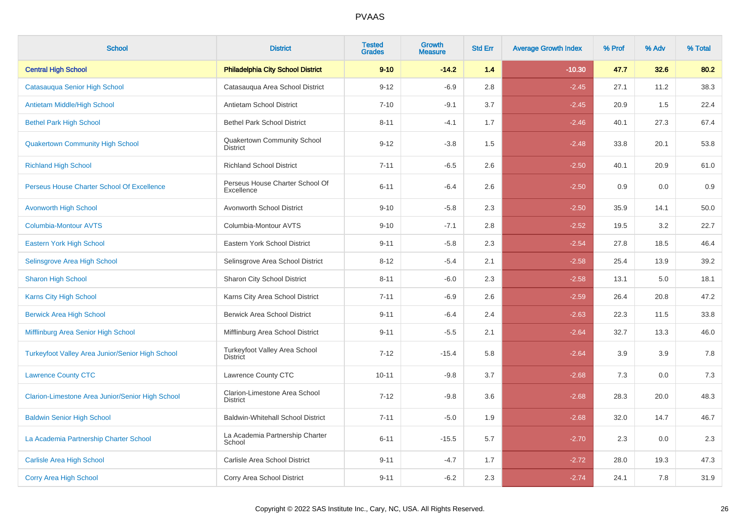| <b>School</b>                                    | <b>District</b>                                  | <b>Tested</b><br><b>Grades</b> | <b>Growth</b><br><b>Measure</b> | <b>Std Err</b> | <b>Average Growth Index</b> | % Prof | % Adv | % Total |
|--------------------------------------------------|--------------------------------------------------|--------------------------------|---------------------------------|----------------|-----------------------------|--------|-------|---------|
| <b>Central High School</b>                       | <b>Philadelphia City School District</b>         | $9 - 10$                       | $-14.2$                         | 1.4            | $-10.30$                    | 47.7   | 32.6  | 80.2    |
| Catasauqua Senior High School                    | Catasauqua Area School District                  | $9 - 12$                       | $-6.9$                          | 2.8            | $-2.45$                     | 27.1   | 11.2  | 38.3    |
| Antietam Middle/High School                      | Antietam School District                         | $7 - 10$                       | $-9.1$                          | 3.7            | $-2.45$                     | 20.9   | 1.5   | 22.4    |
| <b>Bethel Park High School</b>                   | <b>Bethel Park School District</b>               | $8 - 11$                       | $-4.1$                          | 1.7            | $-2.46$                     | 40.1   | 27.3  | 67.4    |
| <b>Quakertown Community High School</b>          | Quakertown Community School<br><b>District</b>   | $9 - 12$                       | $-3.8$                          | 1.5            | $-2.48$                     | 33.8   | 20.1  | 53.8    |
| <b>Richland High School</b>                      | <b>Richland School District</b>                  | $7 - 11$                       | $-6.5$                          | 2.6            | $-2.50$                     | 40.1   | 20.9  | 61.0    |
| Perseus House Charter School Of Excellence       | Perseus House Charter School Of<br>Excellence    | $6 - 11$                       | $-6.4$                          | 2.6            | $-2.50$                     | 0.9    | 0.0   | 0.9     |
| <b>Avonworth High School</b>                     | Avonworth School District                        | $9 - 10$                       | $-5.8$                          | 2.3            | $-2.50$                     | 35.9   | 14.1  | 50.0    |
| <b>Columbia-Montour AVTS</b>                     | Columbia-Montour AVTS                            | $9 - 10$                       | $-7.1$                          | 2.8            | $-2.52$                     | 19.5   | 3.2   | 22.7    |
| Eastern York High School                         | Eastern York School District                     | $9 - 11$                       | $-5.8$                          | 2.3            | $-2.54$                     | 27.8   | 18.5  | 46.4    |
| Selinsgrove Area High School                     | Selinsgrove Area School District                 | $8 - 12$                       | $-5.4$                          | 2.1            | $-2.58$                     | 25.4   | 13.9  | 39.2    |
| <b>Sharon High School</b>                        | Sharon City School District                      | $8 - 11$                       | $-6.0$                          | 2.3            | $-2.58$                     | 13.1   | 5.0   | 18.1    |
| Karns City High School                           | Karns City Area School District                  | $7 - 11$                       | $-6.9$                          | 2.6            | $-2.59$                     | 26.4   | 20.8  | 47.2    |
| <b>Berwick Area High School</b>                  | <b>Berwick Area School District</b>              | $9 - 11$                       | $-6.4$                          | 2.4            | $-2.63$                     | 22.3   | 11.5  | 33.8    |
| Mifflinburg Area Senior High School              | Mifflinburg Area School District                 | $9 - 11$                       | $-5.5$                          | 2.1            | $-2.64$                     | 32.7   | 13.3  | 46.0    |
| Turkeyfoot Valley Area Junior/Senior High School | Turkeyfoot Valley Area School<br><b>District</b> | $7 - 12$                       | $-15.4$                         | 5.8            | $-2.64$                     | 3.9    | 3.9   | 7.8     |
| <b>Lawrence County CTC</b>                       | Lawrence County CTC                              | $10 - 11$                      | $-9.8$                          | 3.7            | $-2.68$                     | 7.3    | 0.0   | 7.3     |
| Clarion-Limestone Area Junior/Senior High School | Clarion-Limestone Area School<br><b>District</b> | $7 - 12$                       | $-9.8$                          | 3.6            | $-2.68$                     | 28.3   | 20.0  | 48.3    |
| <b>Baldwin Senior High School</b>                | <b>Baldwin-Whitehall School District</b>         | $7 - 11$                       | $-5.0$                          | 1.9            | $-2.68$                     | 32.0   | 14.7  | 46.7    |
| La Academia Partnership Charter School           | La Academia Partnership Charter<br>School        | $6 - 11$                       | $-15.5$                         | 5.7            | $-2.70$                     | 2.3    | 0.0   | 2.3     |
| <b>Carlisle Area High School</b>                 | Carlisle Area School District                    | $9 - 11$                       | $-4.7$                          | 1.7            | $-2.72$                     | 28.0   | 19.3  | 47.3    |
| <b>Corry Area High School</b>                    | Corry Area School District                       | $9 - 11$                       | $-6.2$                          | 2.3            | $-2.74$                     | 24.1   | 7.8   | 31.9    |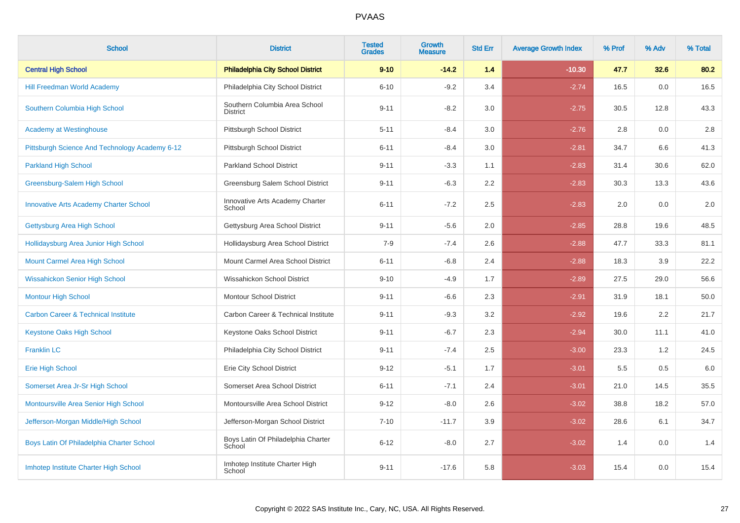| <b>School</b>                                  | <b>District</b>                                  | <b>Tested</b><br><b>Grades</b> | <b>Growth</b><br><b>Measure</b> | <b>Std Err</b> | <b>Average Growth Index</b> | % Prof | % Adv | % Total |
|------------------------------------------------|--------------------------------------------------|--------------------------------|---------------------------------|----------------|-----------------------------|--------|-------|---------|
| <b>Central High School</b>                     | <b>Philadelphia City School District</b>         | $9 - 10$                       | $-14.2$                         | 1.4            | $-10.30$                    | 47.7   | 32.6  | 80.2    |
| <b>Hill Freedman World Academy</b>             | Philadelphia City School District                | $6 - 10$                       | $-9.2$                          | 3.4            | $-2.74$                     | 16.5   | 0.0   | 16.5    |
| Southern Columbia High School                  | Southern Columbia Area School<br><b>District</b> | $9 - 11$                       | $-8.2$                          | 3.0            | $-2.75$                     | 30.5   | 12.8  | 43.3    |
| <b>Academy at Westinghouse</b>                 | Pittsburgh School District                       | $5 - 11$                       | $-8.4$                          | 3.0            | $-2.76$                     | 2.8    | 0.0   | 2.8     |
| Pittsburgh Science And Technology Academy 6-12 | Pittsburgh School District                       | $6 - 11$                       | $-8.4$                          | 3.0            | $-2.81$                     | 34.7   | 6.6   | 41.3    |
| <b>Parkland High School</b>                    | <b>Parkland School District</b>                  | $9 - 11$                       | $-3.3$                          | 1.1            | $-2.83$                     | 31.4   | 30.6  | 62.0    |
| Greensburg-Salem High School                   | Greensburg Salem School District                 | $9 - 11$                       | $-6.3$                          | 2.2            | $-2.83$                     | 30.3   | 13.3  | 43.6    |
| <b>Innovative Arts Academy Charter School</b>  | Innovative Arts Academy Charter<br>School        | $6 - 11$                       | $-7.2$                          | 2.5            | $-2.83$                     | 2.0    | 0.0   | 2.0     |
| Gettysburg Area High School                    | Gettysburg Area School District                  | $9 - 11$                       | $-5.6$                          | 2.0            | $-2.85$                     | 28.8   | 19.6  | 48.5    |
| Hollidaysburg Area Junior High School          | Hollidaysburg Area School District               | $7 - 9$                        | $-7.4$                          | 2.6            | $-2.88$                     | 47.7   | 33.3  | 81.1    |
| Mount Carmel Area High School                  | Mount Carmel Area School District                | $6 - 11$                       | $-6.8$                          | 2.4            | $-2.88$                     | 18.3   | 3.9   | 22.2    |
| <b>Wissahickon Senior High School</b>          | Wissahickon School District                      | $9 - 10$                       | $-4.9$                          | 1.7            | $-2.89$                     | 27.5   | 29.0  | 56.6    |
| <b>Montour High School</b>                     | <b>Montour School District</b>                   | $9 - 11$                       | $-6.6$                          | 2.3            | $-2.91$                     | 31.9   | 18.1  | 50.0    |
| <b>Carbon Career &amp; Technical Institute</b> | Carbon Career & Technical Institute              | $9 - 11$                       | $-9.3$                          | 3.2            | $-2.92$                     | 19.6   | 2.2   | 21.7    |
| <b>Keystone Oaks High School</b>               | Keystone Oaks School District                    | $9 - 11$                       | $-6.7$                          | 2.3            | $-2.94$                     | 30.0   | 11.1  | 41.0    |
| <b>Franklin LC</b>                             | Philadelphia City School District                | $9 - 11$                       | $-7.4$                          | 2.5            | $-3.00$                     | 23.3   | 1.2   | 24.5    |
| <b>Erie High School</b>                        | Erie City School District                        | $9 - 12$                       | $-5.1$                          | 1.7            | $-3.01$                     | 5.5    | 0.5   | 6.0     |
| Somerset Area Jr-Sr High School                | Somerset Area School District                    | $6 - 11$                       | $-7.1$                          | 2.4            | $-3.01$                     | 21.0   | 14.5  | 35.5    |
| Montoursville Area Senior High School          | Montoursville Area School District               | $9 - 12$                       | $-8.0$                          | 2.6            | $-3.02$                     | 38.8   | 18.2  | 57.0    |
| Jefferson-Morgan Middle/High School            | Jefferson-Morgan School District                 | $7 - 10$                       | $-11.7$                         | 3.9            | $-3.02$                     | 28.6   | 6.1   | 34.7    |
| Boys Latin Of Philadelphia Charter School      | Boys Latin Of Philadelphia Charter<br>School     | $6 - 12$                       | $-8.0$                          | 2.7            | $-3.02$                     | 1.4    | 0.0   | 1.4     |
| Imhotep Institute Charter High School          | Imhotep Institute Charter High<br>School         | $9 - 11$                       | $-17.6$                         | 5.8            | $-3.03$                     | 15.4   | 0.0   | 15.4    |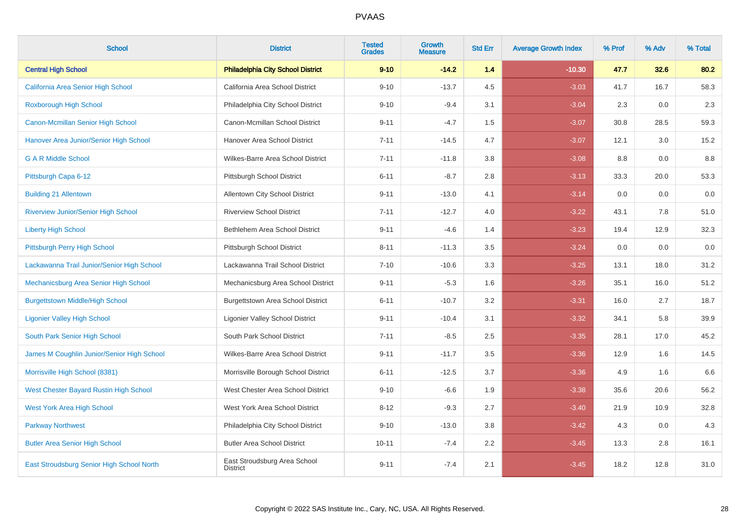| <b>School</b>                              | <b>District</b>                                 | <b>Tested</b><br><b>Grades</b> | Growth<br><b>Measure</b> | <b>Std Err</b> | <b>Average Growth Index</b> | % Prof | % Adv | % Total |
|--------------------------------------------|-------------------------------------------------|--------------------------------|--------------------------|----------------|-----------------------------|--------|-------|---------|
| <b>Central High School</b>                 | <b>Philadelphia City School District</b>        | $9 - 10$                       | $-14.2$                  | 1.4            | $-10.30$                    | 47.7   | 32.6  | 80.2    |
| California Area Senior High School         | California Area School District                 | $9 - 10$                       | $-13.7$                  | 4.5            | $-3.03$                     | 41.7   | 16.7  | 58.3    |
| <b>Roxborough High School</b>              | Philadelphia City School District               | $9 - 10$                       | $-9.4$                   | 3.1            | $-3.04$                     | 2.3    | 0.0   | 2.3     |
| Canon-Mcmillan Senior High School          | Canon-Mcmillan School District                  | $9 - 11$                       | $-4.7$                   | 1.5            | $-3.07$                     | 30.8   | 28.5  | 59.3    |
| Hanover Area Junior/Senior High School     | Hanover Area School District                    | $7 - 11$                       | $-14.5$                  | 4.7            | $-3.07$                     | 12.1   | 3.0   | 15.2    |
| <b>G A R Middle School</b>                 | Wilkes-Barre Area School District               | $7 - 11$                       | $-11.8$                  | 3.8            | $-3.08$                     | 8.8    | 0.0   | 8.8     |
| Pittsburgh Capa 6-12                       | Pittsburgh School District                      | $6 - 11$                       | $-8.7$                   | 2.8            | $-3.13$                     | 33.3   | 20.0  | 53.3    |
| <b>Building 21 Allentown</b>               | Allentown City School District                  | $9 - 11$                       | $-13.0$                  | 4.1            | $-3.14$                     | 0.0    | 0.0   | 0.0     |
| Riverview Junior/Senior High School        | <b>Riverview School District</b>                | $7 - 11$                       | $-12.7$                  | 4.0            | $-3.22$                     | 43.1   | 7.8   | 51.0    |
| <b>Liberty High School</b>                 | Bethlehem Area School District                  | $9 - 11$                       | $-4.6$                   | 1.4            | $-3.23$                     | 19.4   | 12.9  | 32.3    |
| Pittsburgh Perry High School               | Pittsburgh School District                      | $8 - 11$                       | $-11.3$                  | 3.5            | $-3.24$                     | 0.0    | 0.0   | 0.0     |
| Lackawanna Trail Junior/Senior High School | Lackawanna Trail School District                | $7 - 10$                       | $-10.6$                  | 3.3            | $-3.25$                     | 13.1   | 18.0  | 31.2    |
| Mechanicsburg Area Senior High School      | Mechanicsburg Area School District              | $9 - 11$                       | $-5.3$                   | 1.6            | $-3.26$                     | 35.1   | 16.0  | 51.2    |
| <b>Burgettstown Middle/High School</b>     | Burgettstown Area School District               | $6 - 11$                       | $-10.7$                  | 3.2            | $-3.31$                     | 16.0   | 2.7   | 18.7    |
| <b>Ligonier Valley High School</b>         | <b>Ligonier Valley School District</b>          | $9 - 11$                       | $-10.4$                  | 3.1            | $-3.32$                     | 34.1   | 5.8   | 39.9    |
| South Park Senior High School              | South Park School District                      | $7 - 11$                       | $-8.5$                   | 2.5            | $-3.35$                     | 28.1   | 17.0  | 45.2    |
| James M Coughlin Junior/Senior High School | Wilkes-Barre Area School District               | $9 - 11$                       | $-11.7$                  | 3.5            | $-3.36$                     | 12.9   | 1.6   | 14.5    |
| Morrisville High School (8381)             | Morrisville Borough School District             | $6 - 11$                       | $-12.5$                  | 3.7            | $-3.36$                     | 4.9    | 1.6   | 6.6     |
| West Chester Bayard Rustin High School     | West Chester Area School District               | $9 - 10$                       | $-6.6$                   | 1.9            | $-3.38$                     | 35.6   | 20.6  | 56.2    |
| <b>West York Area High School</b>          | West York Area School District                  | $8 - 12$                       | $-9.3$                   | 2.7            | $-3.40$                     | 21.9   | 10.9  | 32.8    |
| <b>Parkway Northwest</b>                   | Philadelphia City School District               | $9 - 10$                       | $-13.0$                  | 3.8            | $-3.42$                     | 4.3    | 0.0   | 4.3     |
| <b>Butler Area Senior High School</b>      | <b>Butler Area School District</b>              | $10 - 11$                      | $-7.4$                   | 2.2            | $-3.45$                     | 13.3   | 2.8   | 16.1    |
| East Stroudsburg Senior High School North  | East Stroudsburg Area School<br><b>District</b> | $9 - 11$                       | $-7.4$                   | 2.1            | $-3.45$                     | 18.2   | 12.8  | 31.0    |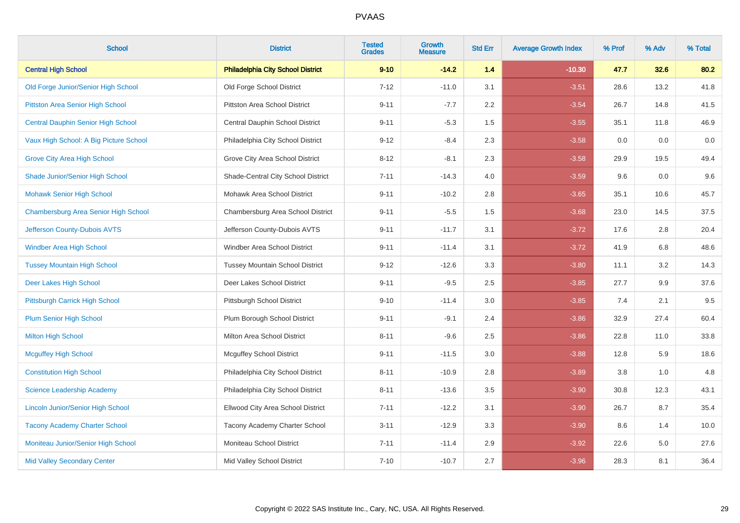| <b>School</b>                             | <b>District</b>                          | <b>Tested</b><br><b>Grades</b> | <b>Growth</b><br><b>Measure</b> | <b>Std Err</b> | <b>Average Growth Index</b> | % Prof | % Adv | % Total |
|-------------------------------------------|------------------------------------------|--------------------------------|---------------------------------|----------------|-----------------------------|--------|-------|---------|
| <b>Central High School</b>                | <b>Philadelphia City School District</b> | $9 - 10$                       | $-14.2$                         | 1.4            | $-10.30$                    | 47.7   | 32.6  | 80.2    |
| Old Forge Junior/Senior High School       | Old Forge School District                | $7 - 12$                       | $-11.0$                         | 3.1            | $-3.51$                     | 28.6   | 13.2  | 41.8    |
| Pittston Area Senior High School          | <b>Pittston Area School District</b>     | $9 - 11$                       | $-7.7$                          | 2.2            | $-3.54$                     | 26.7   | 14.8  | 41.5    |
| <b>Central Dauphin Senior High School</b> | Central Dauphin School District          | $9 - 11$                       | $-5.3$                          | 1.5            | $-3.55$                     | 35.1   | 11.8  | 46.9    |
| Vaux High School: A Big Picture School    | Philadelphia City School District        | $9 - 12$                       | $-8.4$                          | 2.3            | $-3.58$                     | 0.0    | 0.0   | $0.0\,$ |
| <b>Grove City Area High School</b>        | Grove City Area School District          | $8 - 12$                       | $-8.1$                          | 2.3            | $-3.58$                     | 29.9   | 19.5  | 49.4    |
| Shade Junior/Senior High School           | Shade-Central City School District       | $7 - 11$                       | $-14.3$                         | 4.0            | $-3.59$                     | 9.6    | 0.0   | 9.6     |
| <b>Mohawk Senior High School</b>          | Mohawk Area School District              | $9 - 11$                       | $-10.2$                         | 2.8            | $-3.65$                     | 35.1   | 10.6  | 45.7    |
| Chambersburg Area Senior High School      | Chambersburg Area School District        | $9 - 11$                       | $-5.5$                          | 1.5            | $-3.68$                     | 23.0   | 14.5  | 37.5    |
| Jefferson County-Dubois AVTS              | Jefferson County-Dubois AVTS             | $9 - 11$                       | $-11.7$                         | 3.1            | $-3.72$                     | 17.6   | 2.8   | 20.4    |
| Windber Area High School                  | Windber Area School District             | $9 - 11$                       | $-11.4$                         | 3.1            | $-3.72$                     | 41.9   | 6.8   | 48.6    |
| <b>Tussey Mountain High School</b>        | <b>Tussey Mountain School District</b>   | $9 - 12$                       | $-12.6$                         | 3.3            | $-3.80$                     | 11.1   | 3.2   | 14.3    |
| Deer Lakes High School                    | Deer Lakes School District               | $9 - 11$                       | $-9.5$                          | 2.5            | $-3.85$                     | 27.7   | 9.9   | 37.6    |
| Pittsburgh Carrick High School            | Pittsburgh School District               | $9 - 10$                       | $-11.4$                         | 3.0            | $-3.85$                     | 7.4    | 2.1   | 9.5     |
| <b>Plum Senior High School</b>            | Plum Borough School District             | $9 - 11$                       | $-9.1$                          | 2.4            | $-3.86$                     | 32.9   | 27.4  | 60.4    |
| <b>Milton High School</b>                 | Milton Area School District              | $8 - 11$                       | $-9.6$                          | 2.5            | $-3.86$                     | 22.8   | 11.0  | 33.8    |
| <b>Mcguffey High School</b>               | <b>Mcguffey School District</b>          | $9 - 11$                       | $-11.5$                         | 3.0            | $-3.88$                     | 12.8   | 5.9   | 18.6    |
| <b>Constitution High School</b>           | Philadelphia City School District        | $8 - 11$                       | $-10.9$                         | 2.8            | $-3.89$                     | 3.8    | 1.0   | 4.8     |
| <b>Science Leadership Academy</b>         | Philadelphia City School District        | $8 - 11$                       | $-13.6$                         | 3.5            | $-3.90$                     | 30.8   | 12.3  | 43.1    |
| <b>Lincoln Junior/Senior High School</b>  | Ellwood City Area School District        | $7 - 11$                       | $-12.2$                         | 3.1            | $-3.90$                     | 26.7   | 8.7   | 35.4    |
| <b>Tacony Academy Charter School</b>      | Tacony Academy Charter School            | $3 - 11$                       | $-12.9$                         | 3.3            | $-3.90$                     | 8.6    | 1.4   | 10.0    |
| Moniteau Junior/Senior High School        | Moniteau School District                 | $7 - 11$                       | $-11.4$                         | 2.9            | $-3.92$                     | 22.6   | 5.0   | 27.6    |
| <b>Mid Valley Secondary Center</b>        | Mid Valley School District               | $7 - 10$                       | $-10.7$                         | 2.7            | $-3.96$                     | 28.3   | 8.1   | 36.4    |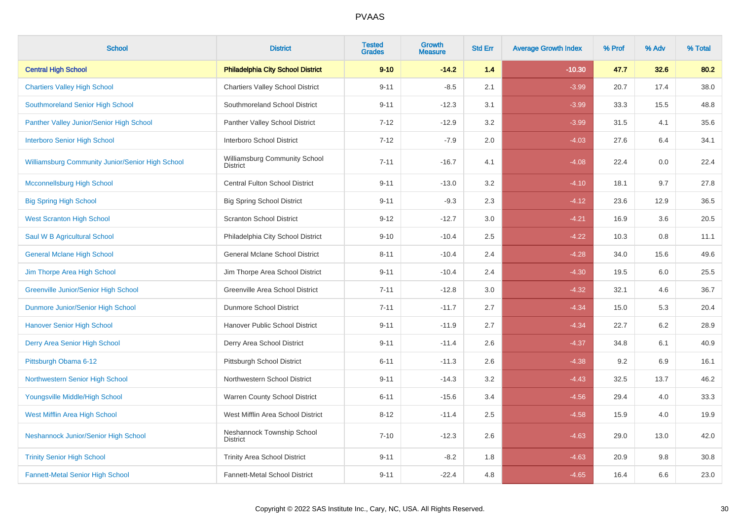| <b>School</b>                                    | <b>District</b>                                  | <b>Tested</b><br><b>Grades</b> | Growth<br><b>Measure</b> | <b>Std Err</b> | <b>Average Growth Index</b> | % Prof | % Adv | % Total |
|--------------------------------------------------|--------------------------------------------------|--------------------------------|--------------------------|----------------|-----------------------------|--------|-------|---------|
| <b>Central High School</b>                       | <b>Philadelphia City School District</b>         | $9 - 10$                       | $-14.2$                  | 1.4            | $-10.30$                    | 47.7   | 32.6  | 80.2    |
| <b>Chartiers Valley High School</b>              | <b>Chartiers Valley School District</b>          | $9 - 11$                       | $-8.5$                   | 2.1            | $-3.99$                     | 20.7   | 17.4  | 38.0    |
| Southmoreland Senior High School                 | Southmoreland School District                    | $9 - 11$                       | $-12.3$                  | 3.1            | $-3.99$                     | 33.3   | 15.5  | 48.8    |
| Panther Valley Junior/Senior High School         | Panther Valley School District                   | $7 - 12$                       | $-12.9$                  | 3.2            | $-3.99$                     | 31.5   | 4.1   | 35.6    |
| <b>Interboro Senior High School</b>              | Interboro School District                        | $7 - 12$                       | $-7.9$                   | 2.0            | $-4.03$                     | 27.6   | 6.4   | 34.1    |
| Williamsburg Community Junior/Senior High School | Williamsburg Community School<br><b>District</b> | $7 - 11$                       | $-16.7$                  | 4.1            | $-4.08$                     | 22.4   | 0.0   | 22.4    |
| <b>Mcconnellsburg High School</b>                | <b>Central Fulton School District</b>            | $9 - 11$                       | $-13.0$                  | 3.2            | $-4.10$                     | 18.1   | 9.7   | 27.8    |
| <b>Big Spring High School</b>                    | <b>Big Spring School District</b>                | $9 - 11$                       | $-9.3$                   | 2.3            | $-4.12$                     | 23.6   | 12.9  | 36.5    |
| <b>West Scranton High School</b>                 | <b>Scranton School District</b>                  | $9 - 12$                       | $-12.7$                  | 3.0            | $-4.21$                     | 16.9   | 3.6   | 20.5    |
| Saul W B Agricultural School                     | Philadelphia City School District                | $9 - 10$                       | $-10.4$                  | 2.5            | $-4.22$                     | 10.3   | 0.8   | 11.1    |
| <b>General Mclane High School</b>                | General Mclane School District                   | $8 - 11$                       | $-10.4$                  | 2.4            | $-4.28$                     | 34.0   | 15.6  | 49.6    |
| Jim Thorpe Area High School                      | Jim Thorpe Area School District                  | $9 - 11$                       | $-10.4$                  | 2.4            | $-4.30$                     | 19.5   | 6.0   | 25.5    |
| <b>Greenville Junior/Senior High School</b>      | Greenville Area School District                  | $7 - 11$                       | $-12.8$                  | 3.0            | $-4.32$                     | 32.1   | 4.6   | 36.7    |
| Dunmore Junior/Senior High School                | Dunmore School District                          | $7 - 11$                       | $-11.7$                  | 2.7            | $-4.34$                     | 15.0   | 5.3   | 20.4    |
| <b>Hanover Senior High School</b>                | Hanover Public School District                   | $9 - 11$                       | $-11.9$                  | 2.7            | $-4.34$                     | 22.7   | 6.2   | 28.9    |
| Derry Area Senior High School                    | Derry Area School District                       | $9 - 11$                       | $-11.4$                  | 2.6            | $-4.37$                     | 34.8   | 6.1   | 40.9    |
| Pittsburgh Obama 6-12                            | Pittsburgh School District                       | $6 - 11$                       | $-11.3$                  | 2.6            | $-4.38$                     | 9.2    | 6.9   | 16.1    |
| Northwestern Senior High School                  | Northwestern School District                     | $9 - 11$                       | $-14.3$                  | 3.2            | $-4.43$                     | 32.5   | 13.7  | 46.2    |
| Youngsville Middle/High School                   | Warren County School District                    | $6 - 11$                       | $-15.6$                  | 3.4            | $-4.56$                     | 29.4   | 4.0   | 33.3    |
| West Mifflin Area High School                    | West Mifflin Area School District                | $8 - 12$                       | $-11.4$                  | 2.5            | $-4.58$                     | 15.9   | 4.0   | 19.9    |
| Neshannock Junior/Senior High School             | Neshannock Township School<br><b>District</b>    | $7 - 10$                       | $-12.3$                  | 2.6            | $-4.63$                     | 29.0   | 13.0  | 42.0    |
| <b>Trinity Senior High School</b>                | <b>Trinity Area School District</b>              | $9 - 11$                       | $-8.2$                   | 1.8            | $-4.63$                     | 20.9   | 9.8   | 30.8    |
| <b>Fannett-Metal Senior High School</b>          | Fannett-Metal School District                    | $9 - 11$                       | $-22.4$                  | 4.8            | $-4.65$                     | 16.4   | 6.6   | 23.0    |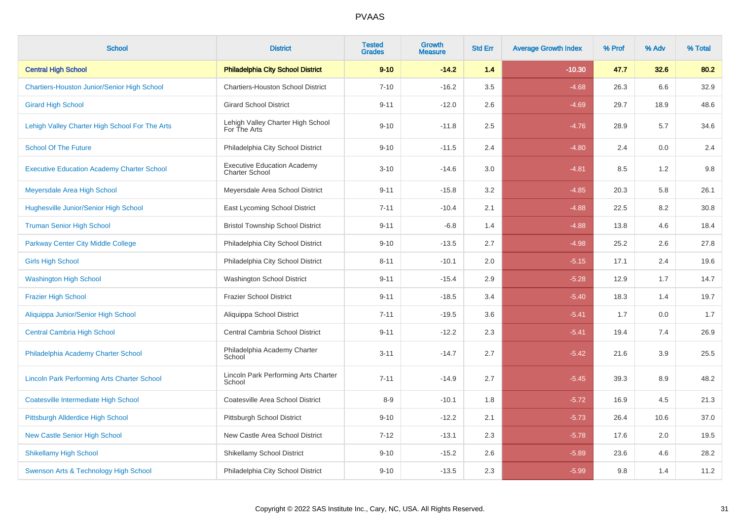| <b>School</b>                                      | <b>District</b>                                             | <b>Tested</b><br><b>Grades</b> | Growth<br><b>Measure</b> | <b>Std Err</b> | <b>Average Growth Index</b> | % Prof | % Adv | % Total |
|----------------------------------------------------|-------------------------------------------------------------|--------------------------------|--------------------------|----------------|-----------------------------|--------|-------|---------|
| <b>Central High School</b>                         | <b>Philadelphia City School District</b>                    | $9 - 10$                       | $-14.2$                  | 1.4            | $-10.30$                    | 47.7   | 32.6  | 80.2    |
| <b>Chartiers-Houston Junior/Senior High School</b> | <b>Chartiers-Houston School District</b>                    | $7 - 10$                       | $-16.2$                  | 3.5            | $-4.68$                     | 26.3   | 6.6   | 32.9    |
| <b>Girard High School</b>                          | <b>Girard School District</b>                               | $9 - 11$                       | $-12.0$                  | 2.6            | $-4.69$                     | 29.7   | 18.9  | 48.6    |
| Lehigh Valley Charter High School For The Arts     | Lehigh Valley Charter High School<br>For The Arts           | $9 - 10$                       | $-11.8$                  | 2.5            | $-4.76$                     | 28.9   | 5.7   | 34.6    |
| <b>School Of The Future</b>                        | Philadelphia City School District                           | $9 - 10$                       | $-11.5$                  | 2.4            | $-4.80$                     | 2.4    | 0.0   | 2.4     |
| <b>Executive Education Academy Charter School</b>  | <b>Executive Education Academy</b><br><b>Charter School</b> | $3 - 10$                       | $-14.6$                  | 3.0            | $-4.81$                     | 8.5    | 1.2   | 9.8     |
| Meyersdale Area High School                        | Meyersdale Area School District                             | $9 - 11$                       | $-15.8$                  | 3.2            | $-4.85$                     | 20.3   | 5.8   | 26.1    |
| <b>Hughesville Junior/Senior High School</b>       | East Lycoming School District                               | $7 - 11$                       | $-10.4$                  | 2.1            | $-4.88$                     | 22.5   | 8.2   | 30.8    |
| <b>Truman Senior High School</b>                   | <b>Bristol Township School District</b>                     | $9 - 11$                       | $-6.8$                   | 1.4            | $-4.88$                     | 13.8   | 4.6   | 18.4    |
| <b>Parkway Center City Middle College</b>          | Philadelphia City School District                           | $9 - 10$                       | $-13.5$                  | 2.7            | $-4.98$                     | 25.2   | 2.6   | 27.8    |
| <b>Girls High School</b>                           | Philadelphia City School District                           | $8 - 11$                       | $-10.1$                  | 2.0            | $-5.15$                     | 17.1   | 2.4   | 19.6    |
| <b>Washington High School</b>                      | <b>Washington School District</b>                           | $9 - 11$                       | $-15.4$                  | 2.9            | $-5.28$                     | 12.9   | 1.7   | 14.7    |
| <b>Frazier High School</b>                         | <b>Frazier School District</b>                              | $9 - 11$                       | $-18.5$                  | 3.4            | $-5.40$                     | 18.3   | 1.4   | 19.7    |
| Aliquippa Junior/Senior High School                | Aliquippa School District                                   | $7 - 11$                       | $-19.5$                  | 3.6            | $-5.41$                     | 1.7    | 0.0   | 1.7     |
| <b>Central Cambria High School</b>                 | Central Cambria School District                             | $9 - 11$                       | $-12.2$                  | 2.3            | $-5.41$                     | 19.4   | 7.4   | 26.9    |
| Philadelphia Academy Charter School                | Philadelphia Academy Charter<br>School                      | $3 - 11$                       | $-14.7$                  | 2.7            | $-5.42$                     | 21.6   | 3.9   | 25.5    |
| <b>Lincoln Park Performing Arts Charter School</b> | Lincoln Park Performing Arts Charter<br>School              | $7 - 11$                       | $-14.9$                  | 2.7            | $-5.45$                     | 39.3   | 8.9   | 48.2    |
| <b>Coatesville Intermediate High School</b>        | Coatesville Area School District                            | $8-9$                          | $-10.1$                  | 1.8            | $-5.72$                     | 16.9   | 4.5   | 21.3    |
| Pittsburgh Allderdice High School                  | Pittsburgh School District                                  | $9 - 10$                       | $-12.2$                  | 2.1            | $-5.73$                     | 26.4   | 10.6  | 37.0    |
| <b>New Castle Senior High School</b>               | New Castle Area School District                             | $7 - 12$                       | $-13.1$                  | 2.3            | $-5.78$                     | 17.6   | 2.0   | 19.5    |
| <b>Shikellamy High School</b>                      | <b>Shikellamy School District</b>                           | $9 - 10$                       | $-15.2$                  | 2.6            | $-5.89$                     | 23.6   | 4.6   | 28.2    |
| Swenson Arts & Technology High School              | Philadelphia City School District                           | $9 - 10$                       | $-13.5$                  | 2.3            | $-5.99$                     | 9.8    | 1.4   | 11.2    |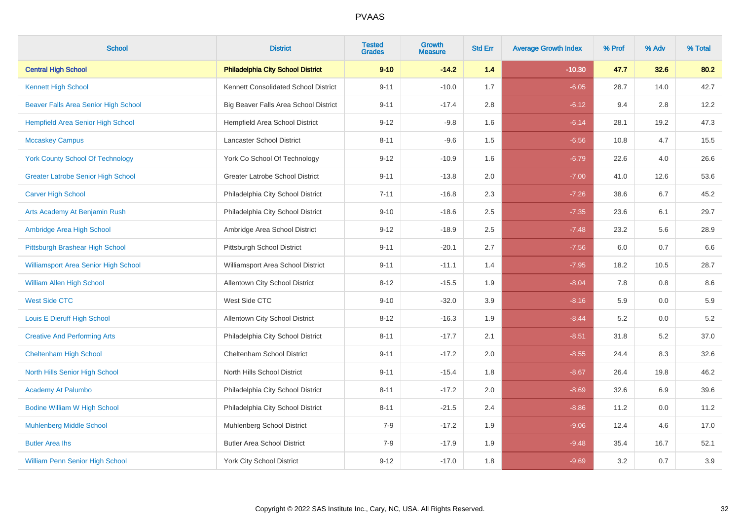| <b>School</b>                               | <b>District</b>                          | <b>Tested</b><br><b>Grades</b> | Growth<br><b>Measure</b> | <b>Std Err</b> | <b>Average Growth Index</b> | % Prof | % Adv | % Total |
|---------------------------------------------|------------------------------------------|--------------------------------|--------------------------|----------------|-----------------------------|--------|-------|---------|
| <b>Central High School</b>                  | <b>Philadelphia City School District</b> | $9 - 10$                       | $-14.2$                  | 1.4            | $-10.30$                    | 47.7   | 32.6  | 80.2    |
| <b>Kennett High School</b>                  | Kennett Consolidated School District     | $9 - 11$                       | $-10.0$                  | 1.7            | $-6.05$                     | 28.7   | 14.0  | 42.7    |
| Beaver Falls Area Senior High School        | Big Beaver Falls Area School District    | $9 - 11$                       | $-17.4$                  | 2.8            | $-6.12$                     | 9.4    | 2.8   | 12.2    |
| <b>Hempfield Area Senior High School</b>    | Hempfield Area School District           | $9 - 12$                       | $-9.8$                   | 1.6            | $-6.14$                     | 28.1   | 19.2  | 47.3    |
| <b>Mccaskey Campus</b>                      | Lancaster School District                | $8 - 11$                       | $-9.6$                   | 1.5            | $-6.56$                     | 10.8   | 4.7   | 15.5    |
| <b>York County School Of Technology</b>     | York Co School Of Technology             | $9 - 12$                       | $-10.9$                  | 1.6            | $-6.79$                     | 22.6   | 4.0   | 26.6    |
| <b>Greater Latrobe Senior High School</b>   | Greater Latrobe School District          | $9 - 11$                       | $-13.8$                  | 2.0            | $-7.00$                     | 41.0   | 12.6  | 53.6    |
| <b>Carver High School</b>                   | Philadelphia City School District        | $7 - 11$                       | $-16.8$                  | 2.3            | $-7.26$                     | 38.6   | 6.7   | 45.2    |
| Arts Academy At Benjamin Rush               | Philadelphia City School District        | $9 - 10$                       | $-18.6$                  | 2.5            | $-7.35$                     | 23.6   | 6.1   | 29.7    |
| Ambridge Area High School                   | Ambridge Area School District            | $9 - 12$                       | $-18.9$                  | 2.5            | $-7.48$                     | 23.2   | 5.6   | 28.9    |
| Pittsburgh Brashear High School             | Pittsburgh School District               | $9 - 11$                       | $-20.1$                  | 2.7            | $-7.56$                     | 6.0    | 0.7   | 6.6     |
| <b>Williamsport Area Senior High School</b> | Williamsport Area School District        | $9 - 11$                       | $-11.1$                  | 1.4            | $-7.95$                     | 18.2   | 10.5  | 28.7    |
| <b>William Allen High School</b>            | Allentown City School District           | $8 - 12$                       | $-15.5$                  | 1.9            | $-8.04$                     | 7.8    | 0.8   | 8.6     |
| <b>West Side CTC</b>                        | West Side CTC                            | $9 - 10$                       | $-32.0$                  | 3.9            | $-8.16$                     | 5.9    | 0.0   | 5.9     |
| Louis E Dieruff High School                 | <b>Allentown City School District</b>    | $8 - 12$                       | $-16.3$                  | 1.9            | $-8.44$                     | 5.2    | 0.0   | 5.2     |
| <b>Creative And Performing Arts</b>         | Philadelphia City School District        | $8 - 11$                       | $-17.7$                  | 2.1            | $-8.51$                     | 31.8   | 5.2   | 37.0    |
| <b>Cheltenham High School</b>               | Cheltenham School District               | $9 - 11$                       | $-17.2$                  | $2.0\,$        | $-8.55$                     | 24.4   | 8.3   | 32.6    |
| North Hills Senior High School              | North Hills School District              | $9 - 11$                       | $-15.4$                  | 1.8            | $-8.67$                     | 26.4   | 19.8  | 46.2    |
| <b>Academy At Palumbo</b>                   | Philadelphia City School District        | $8 - 11$                       | $-17.2$                  | 2.0            | $-8.69$                     | 32.6   | 6.9   | 39.6    |
| <b>Bodine William W High School</b>         | Philadelphia City School District        | $8 - 11$                       | $-21.5$                  | 2.4            | $-8.86$                     | 11.2   | 0.0   | 11.2    |
| <b>Muhlenberg Middle School</b>             | Muhlenberg School District               | $7-9$                          | $-17.2$                  | 1.9            | $-9.06$                     | 12.4   | 4.6   | 17.0    |
| <b>Butler Area lhs</b>                      | <b>Butler Area School District</b>       | $7-9$                          | $-17.9$                  | 1.9            | $-9.48$                     | 35.4   | 16.7  | 52.1    |
| <b>William Penn Senior High School</b>      | <b>York City School District</b>         | $9 - 12$                       | $-17.0$                  | 1.8            | $-9.69$                     | 3.2    | 0.7   | 3.9     |